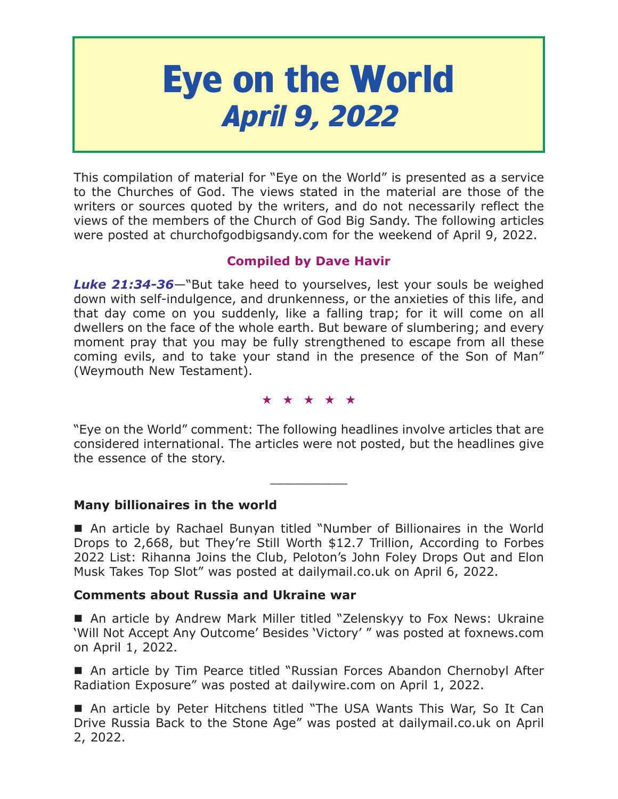# **Eye on the World April 9, 2022**

This compilation of material for "Eye on the World" is presented as a service to the Churches of God. The views stated in the material are those of the writers or sources quoted by the writers, and do not necessarily reflect the views of the members of the Church of God Big Sandy. The following articles were posted at churchofgodbigsandy.com for the weekend of April 9, 2022.

# **Compiled by Dave Havir**

*Luke 21:34-36*—"But take heed to yourselves, lest your souls be weighed down with self-indulgence, and drunkenness, or the anxieties of this life, and that day come on you suddenly, like a falling trap; for it will come on all dwellers on the face of the whole earth. But beware of slumbering; and every moment pray that you may be fully strengthened to escape from all these coming evils, and to take your stand in the presence of the Son of Man" (Weymouth New Testament).

★★★★★

"Eye on the World" comment: The following headlines involve articles that are considered international. The articles were not posted, but the headlines give the essence of the story.

 $\overline{\phantom{a}}$  , where  $\overline{\phantom{a}}$ 

**Many billionaires in the world**

 An article by Rachael Bunyan titled "Number of Billionaires in the World Drops to 2,668, but They're Still Worth \$12.7 Trillion, According to Forbes 2022 List: Rihanna Joins the Club, Peloton's John Foley Drops Out and Elon Musk Takes Top Slot" was posted at dailymail.co.uk on April 6, 2022.

# **Comments about Russia and Ukraine war**

■ An article by Andrew Mark Miller titled "Zelenskyy to Fox News: Ukraine 'Will Not Accept Any Outcome' Besides 'Victory' " was posted at foxnews.com on April 1, 2022.

■ An article by Tim Pearce titled "Russian Forces Abandon Chernobyl After Radiation Exposure" was posted at dailywire.com on April 1, 2022.

 An article by Peter Hitchens titled "The USA Wants This War, So It Can Drive Russia Back to the Stone Age" was posted at dailymail.co.uk on April 2, 2022.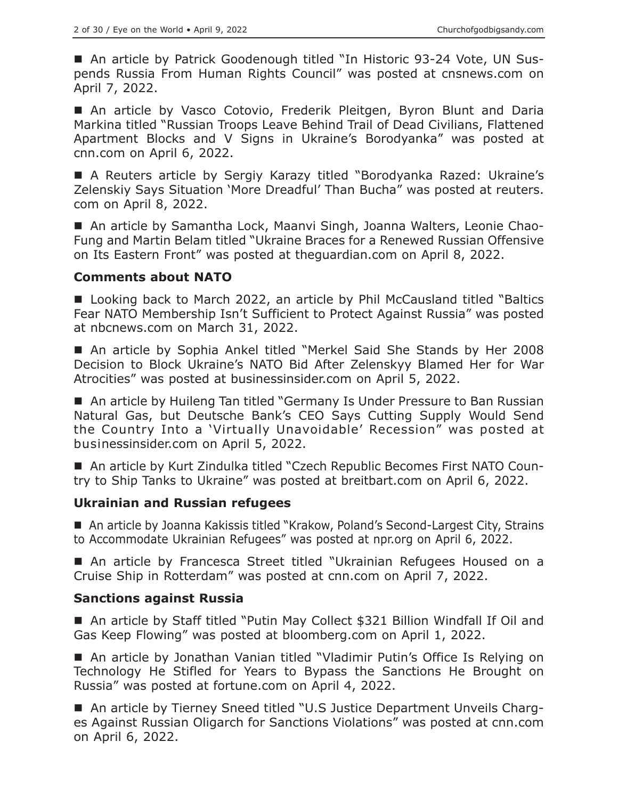■ An article by Patrick Goodenough titled "In Historic 93-24 Vote, UN Suspends Russia From Human Rights Council" was posted at cnsnews.com on April 7, 2022.

An article by Vasco Cotovio, Frederik Pleitgen, Byron Blunt and Daria Markina titled "Russian Troops Leave Behind Trail of Dead Civilians, Flattened Apartment Blocks and V Signs in Ukraine's Borodyanka" was posted at cnn.com on April 6, 2022.

 A Reuters article by Sergiy Karazy titled "Borodyanka Razed: Ukraine's Zelenskiy Says Situation 'More Dreadful' Than Bucha" was posted at reuters. com on April 8, 2022.

■ An article by Samantha Lock, Maanvi Singh, Joanna Walters, Leonie Chao-Fung and Martin Belam titled "Ukraine Braces for a Renewed Russian Offensive on Its Eastern Front" was posted at theguardian.com on April 8, 2022.

#### **Comments about NATO**

■ Looking back to March 2022, an article by Phil McCausland titled "Baltics Fear NATO Membership Isn't Sufficient to Protect Against Russia" was posted at nbcnews.com on March 31, 2022.

 An article by Sophia Ankel titled "Merkel Said She Stands by Her 2008 Decision to Block Ukraine's NATO Bid After Zelenskyy Blamed Her for War Atrocities" was posted at businessinsider.com on April 5, 2022.

■ An article by Huileng Tan titled "Germany Is Under Pressure to Ban Russian Natural Gas, but Deutsche Bank's CEO Says Cutting Supply Would Send the Country Into a 'Virtually Unavoidable' Recession" was posted at businessinsider.com on April 5, 2022.

■ An article by Kurt Zindulka titled "Czech Republic Becomes First NATO Country to Ship Tanks to Ukraine" was posted at breitbart.com on April 6, 2022.

## **Ukrainian and Russian refugees**

■ An article by Joanna Kakissis titled "Krakow, Poland's Second-Largest City, Strains to Accommodate Ukrainian Refugees" was posted at npr.org on April 6, 2022.

 An article by Francesca Street titled "Ukrainian Refugees Housed on a Cruise Ship in Rotterdam" was posted at cnn.com on April 7, 2022.

## **Sanctions against Russia**

■ An article by Staff titled "Putin May Collect \$321 Billion Windfall If Oil and Gas Keep Flowing" was posted at bloomberg.com on April 1, 2022.

■ An article by Jonathan Vanian titled "Vladimir Putin's Office Is Relying on Technology He Stifled for Years to Bypass the Sanctions He Brought on Russia" was posted at fortune.com on April 4, 2022.

■ An article by Tierney Sneed titled "U.S Justice Department Unveils Charges Against Russian Oligarch for Sanctions Violations" was posted at cnn.com on April 6, 2022.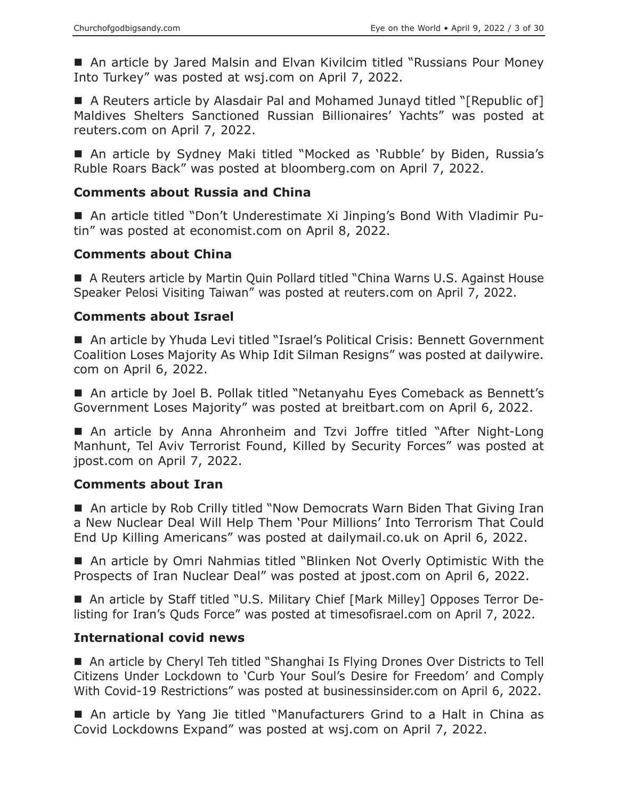■ An article by Jared Malsin and Elvan Kivilcim titled "Russians Pour Money Into Turkey" was posted at wsj.com on April 7, 2022.

■ A Reuters article by Alasdair Pal and Mohamed Junayd titled "[Republic of] Maldives Shelters Sanctioned Russian Billionaires' Yachts" was posted at reuters.com on April 7, 2022.

■ An article by Sydney Maki titled "Mocked as 'Rubble' by Biden, Russia's Ruble Roars Back" was posted at bloomberg.com on April 7, 2022.

## **Comments about Russia and China**

 An article titled "Don't Underestimate Xi Jinping's Bond With Vladimir Putin" was posted at economist.com on April 8, 2022.

## **Comments about China**

■ A Reuters article by Martin Quin Pollard titled "China Warns U.S. Against House Speaker Pelosi Visiting Taiwan" was posted at reuters.com on April 7, 2022.

## **Comments about Israel**

■ An article by Yhuda Levi titled "Israel's Political Crisis: Bennett Government Coalition Loses Majority As Whip Idit Silman Resigns" was posted at dailywire. com on April 6, 2022.

■ An article by Joel B. Pollak titled "Netanyahu Eyes Comeback as Bennett's Government Loses Majority" was posted at breitbart.com on April 6, 2022.

■ An article by Anna Ahronheim and Tzvi Joffre titled "After Night-Long Manhunt, Tel Aviv Terrorist Found, Killed by Security Forces" was posted at jpost.com on April 7, 2022.

## **Comments about Iran**

■ An article by Rob Crilly titled "Now Democrats Warn Biden That Giving Iran a New Nuclear Deal Will Help Them 'Pour Millions' Into Terrorism That Could End Up Killing Americans" was posted at dailymail.co.uk on April 6, 2022.

 An article by Omri Nahmias titled "Blinken Not Overly Optimistic With the Prospects of Iran Nuclear Deal" was posted at jpost.com on April 6, 2022.

 An article by Staff titled "U.S. Military Chief [Mark Milley] Opposes Terror Delisting for Iran's Quds Force" was posted at timesofisrael.com on April 7, 2022.

## **International covid news**

■ An article by Cheryl Teh titled "Shanghai Is Flying Drones Over Districts to Tell Citizens Under Lockdown to 'Curb Your Soul's Desire for Freedom' and Comply With Covid-19 Restrictions" was posted at businessinsider.com on April 6, 2022.

■ An article by Yang Jie titled "Manufacturers Grind to a Halt in China as Covid Lockdowns Expand" was posted at wsj.com on April 7, 2022.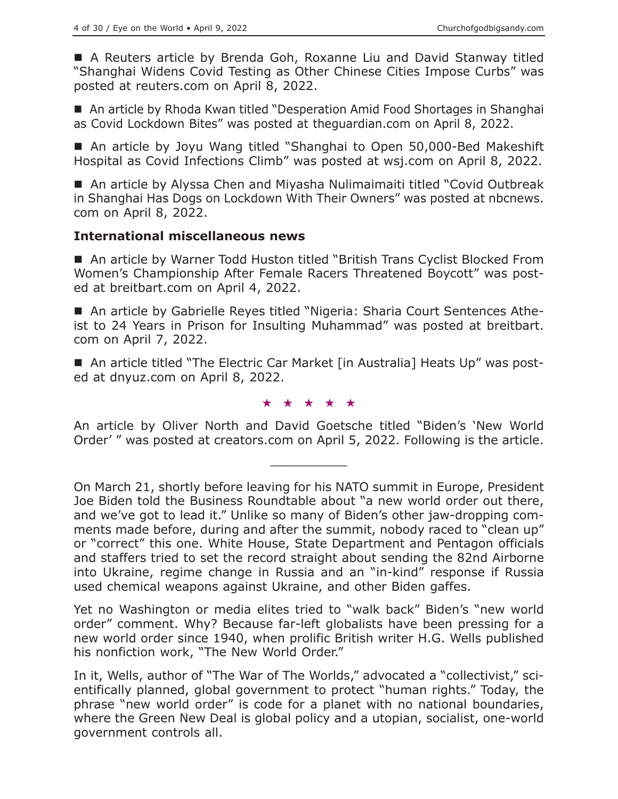A Reuters article by Brenda Goh, Roxanne Liu and David Stanway titled "Shanghai Widens Covid Testing as Other Chinese Cities Impose Curbs" was posted at reuters.com on April 8, 2022.

■ An article by Rhoda Kwan titled "Desperation Amid Food Shortages in Shanghai as Covid Lockdown Bites" was posted at theguardian.com on April 8, 2022.

■ An article by Joyu Wang titled "Shanghai to Open 50,000-Bed Makeshift Hospital as Covid Infections Climb" was posted at wsj.com on April 8, 2022.

■ An article by Alyssa Chen and Miyasha Nulimaimaiti titled "Covid Outbreak in Shanghai Has Dogs on Lockdown With Their Owners" was posted at nbcnews. com on April 8, 2022.

#### **International miscellaneous news**

■ An article by Warner Todd Huston titled "British Trans Cyclist Blocked From Women's Championship After Female Racers Threatened Boycott" was posted at breitbart.com on April 4, 2022.

 An article by Gabrielle Reyes titled "Nigeria: Sharia Court Sentences Atheist to 24 Years in Prison for Insulting Muhammad" was posted at breitbart. com on April 7, 2022.

■ An article titled "The Electric Car Market [in Australia] Heats Up" was posted at dnyuz.com on April 8, 2022.

#### ★★★★★

An article by Oliver North and David Goetsche titled "Biden's 'New World Order' " was posted at creators.com on April 5, 2022. Following is the article.

 $\overline{\phantom{a}}$  , where  $\overline{\phantom{a}}$ 

Yet no Washington or media elites tried to "walk back" Biden's "new world order" comment. Why? Because far-left globalists have been pressing for a new world order since 1940, when prolific British writer H.G. Wells published his nonfiction work, "The New World Order."

In it, Wells, author of "The War of The Worlds," advocated a "collectivist," scientifically planned, global government to protect "human rights." Today, the phrase "new world order" is code for a planet with no national boundaries, where the Green New Deal is global policy and a utopian, socialist, one-world government controls all.

On March 21, shortly before leaving for his NATO summit in Europe, President Joe Biden told the Business Roundtable about "a new world order out there, and we've got to lead it." Unlike so many of Biden's other jaw-dropping comments made before, during and after the summit, nobody raced to "clean up" or "correct" this one. White House, State Department and Pentagon officials and staffers tried to set the record straight about sending the 82nd Airborne into Ukraine, regime change in Russia and an "in-kind" response if Russia used chemical weapons against Ukraine, and other Biden gaffes.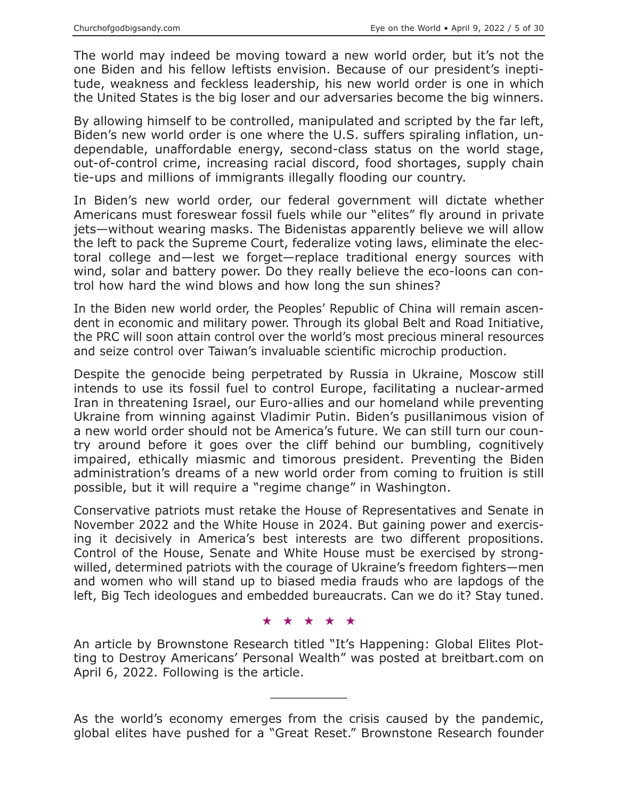The world may indeed be moving toward a new world order, but it's not the one Biden and his fellow leftists envision. Because of our president's ineptitude, weakness and feckless leadership, his new world order is one in which the United States is the big loser and our adversaries become the big winners.

By allowing himself to be controlled, manipulated and scripted by the far left, Biden's new world order is one where the U.S. suffers spiraling inflation, undependable, unaffordable energy, second-class status on the world stage, out-of-control crime, increasing racial discord, food shortages, supply chain tie-ups and millions of immigrants illegally flooding our country.

In Biden's new world order, our federal government will dictate whether Americans must foreswear fossil fuels while our "elites" fly around in private jets—without wearing masks. The Bidenistas apparently believe we will allow the left to pack the Supreme Court, federalize voting laws, eliminate the electoral college and—lest we forget—replace traditional energy sources with wind, solar and battery power. Do they really believe the eco-loons can control how hard the wind blows and how long the sun shines?

In the Biden new world order, the Peoples' Republic of China will remain ascendent in economic and military power. Through its global Belt and Road Initiative, the PRC will soon attain control over the world's most precious mineral resources and seize control over Taiwan's invaluable scientific microchip production.

Despite the genocide being perpetrated by Russia in Ukraine, Moscow still intends to use its fossil fuel to control Europe, facilitating a nuclear-armed Iran in threatening Israel, our Euro-allies and our homeland while preventing Ukraine from winning against Vladimir Putin. Biden's pusillanimous vision of a new world order should not be America's future. We can still turn our country around before it goes over the cliff behind our bumbling, cognitively impaired, ethically miasmic and timorous president. Preventing the Biden administration's dreams of a new world order from coming to fruition is still possible, but it will require a "regime change" in Washington.

Conservative patriots must retake the House of Representatives and Senate in November 2022 and the White House in 2024. But gaining power and exercising it decisively in America's best interests are two different propositions. Control of the House, Senate and White House must be exercised by strongwilled, determined patriots with the courage of Ukraine's freedom fighters—men and women who will stand up to biased media frauds who are lapdogs of the left, Big Tech ideologues and embedded bureaucrats. Can we do it? Stay tuned.

★★★★★

An article by Brownstone Research titled "It's Happening: Global Elites Plotting to Destroy Americans' Personal Wealth" was posted at breitbart.com on April 6, 2022. Following is the article.

As the world's economy emerges from the crisis caused by the pandemic, global elites have pushed for a "Great Reset." Brownstone Research founder

 $\overline{\phantom{a}}$  , where  $\overline{\phantom{a}}$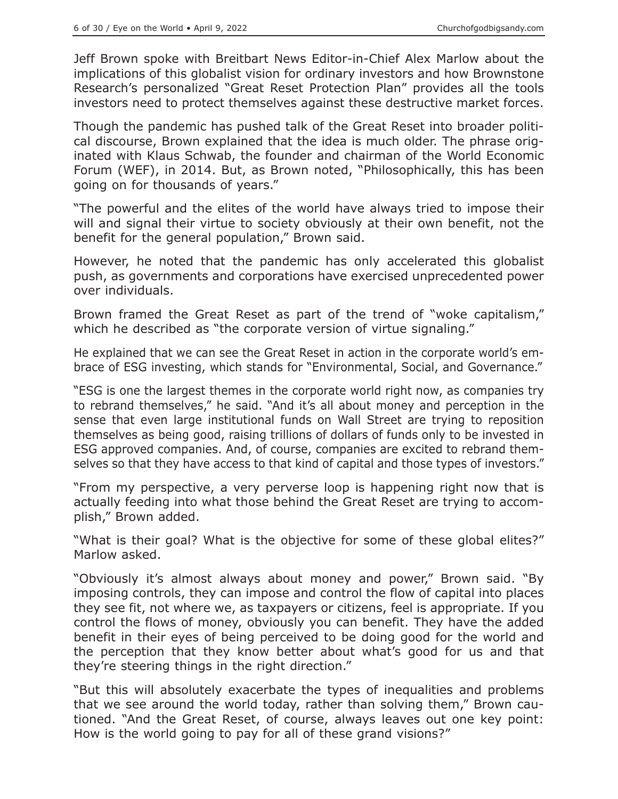Jeff Brown spoke with Breitbart News Editor-in-Chief Alex Marlow about the implications of this globalist vision for ordinary investors and how Brownstone Research's personalized "Great Reset Protection Plan" provides all the tools investors need to protect themselves against these destructive market forces.

Though the pandemic has pushed talk of the Great Reset into broader political discourse, Brown explained that the idea is much older. The phrase originated with Klaus Schwab, the founder and chairman of the World Economic Forum (WEF), in 2014. But, as Brown noted, "Philosophically, this has been going on for thousands of years."

"The powerful and the elites of the world have always tried to impose their will and signal their virtue to society obviously at their own benefit, not the benefit for the general population," Brown said.

However, he noted that the pandemic has only accelerated this globalist push, as governments and corporations have exercised unprecedented power over individuals.

Brown framed the Great Reset as part of the trend of "woke capitalism," which he described as "the corporate version of virtue signaling."

He explained that we can see the Great Reset in action in the corporate world's embrace of ESG investing, which stands for "Environmental, Social, and Governance."

"ESG is one the largest themes in the corporate world right now, as companies try to rebrand themselves," he said. "And it's all about money and perception in the sense that even large institutional funds on Wall Street are trying to reposition themselves as being good, raising trillions of dollars of funds only to be invested in ESG approved companies. And, of course, companies are excited to rebrand themselves so that they have access to that kind of capital and those types of investors."

"From my perspective, a very perverse loop is happening right now that is actually feeding into what those behind the Great Reset are trying to accomplish," Brown added.

"What is their goal? What is the objective for some of these global elites?" Marlow asked.

"Obviously it's almost always about money and power," Brown said. "By imposing controls, they can impose and control the flow of capital into places they see fit, not where we, as taxpayers or citizens, feel is appropriate. If you control the flows of money, obviously you can benefit. They have the added benefit in their eyes of being perceived to be doing good for the world and the perception that they know better about what's good for us and that they're steering things in the right direction."

"But this will absolutely exacerbate the types of inequalities and problems that we see around the world today, rather than solving them," Brown cautioned. "And the Great Reset, of course, always leaves out one key point: How is the world going to pay for all of these grand visions?"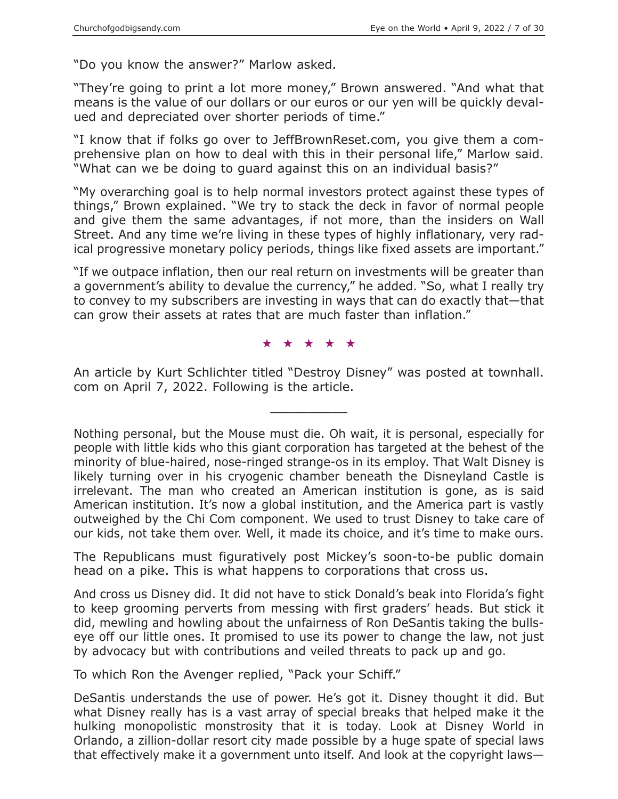"Do you know the answer?" Marlow asked.

"They're going to print a lot more money," Brown answered. "And what that means is the value of our dollars or our euros or our yen will be quickly devalued and depreciated over shorter periods of time."

"I know that if folks go over to JeffBrownReset.com, you give them a comprehensive plan on how to deal with this in their personal life," Marlow said. "What can we be doing to guard against this on an individual basis?"

"My overarching goal is to help normal investors protect against these types of things," Brown explained. "We try to stack the deck in favor of normal people and give them the same advantages, if not more, than the insiders on Wall Street. And any time we're living in these types of highly inflationary, very radical progressive monetary policy periods, things like fixed assets are important."

"If we outpace inflation, then our real return on investments will be greater than a government's ability to devalue the currency," he added. "So, what I really try to convey to my subscribers are investing in ways that can do exactly that—that can grow their assets at rates that are much faster than inflation."

#### ★★★★★

An article by Kurt Schlichter titled "Destroy Disney" was posted at townhall. com on April 7, 2022. Following is the article.

 $\overline{\phantom{a}}$  , where  $\overline{\phantom{a}}$ 

Nothing personal, but the Mouse must die. Oh wait, it is personal, especially for people with little kids who this giant corporation has targeted at the behest of the minority of blue-haired, nose-ringed strange-os in its employ. That Walt Disney is likely turning over in his cryogenic chamber beneath the Disneyland Castle is irrelevant. The man who created an American institution is gone, as is said American institution. It's now a global institution, and the America part is vastly outweighed by the Chi Com component. We used to trust Disney to take care of our kids, not take them over. Well, it made its choice, and it's time to make ours.

The Republicans must figuratively post Mickey's soon-to-be public domain head on a pike. This is what happens to corporations that cross us.

And cross us Disney did. It did not have to stick Donald's beak into Florida's fight to keep grooming perverts from messing with first graders' heads. But stick it did, mewling and howling about the unfairness of Ron DeSantis taking the bullseye off our little ones. It promised to use its power to change the law, not just by advocacy but with contributions and veiled threats to pack up and go.

To which Ron the Avenger replied, "Pack your Schiff."

DeSantis understands the use of power. He's got it. Disney thought it did. But what Disney really has is a vast array of special breaks that helped make it the hulking monopolistic monstrosity that it is today. Look at Disney World in Orlando, a zillion-dollar resort city made possible by a huge spate of special laws that effectively make it a government unto itself. And look at the copyright laws—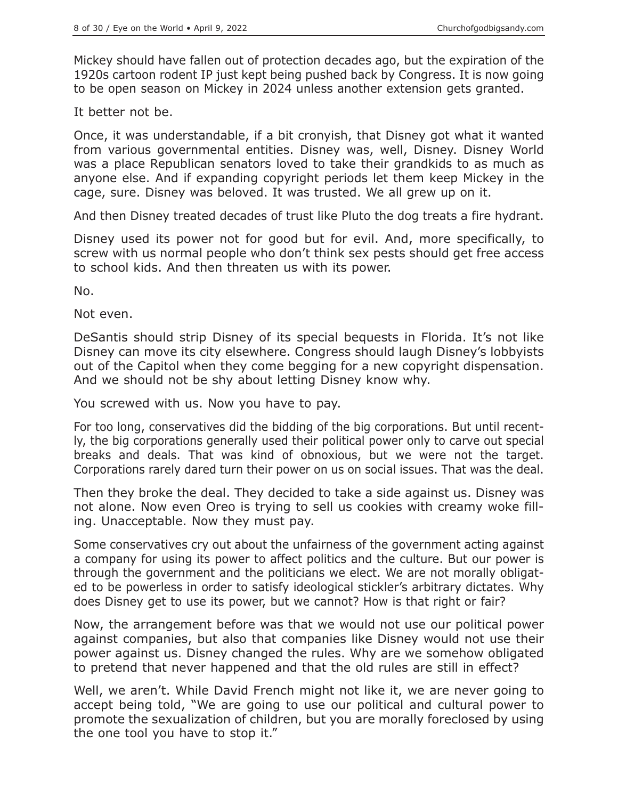Mickey should have fallen out of protection decades ago, but the expiration of the 1920s cartoon rodent IP just kept being pushed back by Congress. It is now going to be open season on Mickey in 2024 unless another extension gets granted.

It better not be.

Once, it was understandable, if a bit cronyish, that Disney got what it wanted from various governmental entities. Disney was, well, Disney. Disney World was a place Republican senators loved to take their grandkids to as much as anyone else. And if expanding copyright periods let them keep Mickey in the cage, sure. Disney was beloved. It was trusted. We all grew up on it.

And then Disney treated decades of trust like Pluto the dog treats a fire hydrant.

Disney used its power not for good but for evil. And, more specifically, to screw with us normal people who don't think sex pests should get free access to school kids. And then threaten us with its power.

No.

Not even.

DeSantis should strip Disney of its special bequests in Florida. It's not like Disney can move its city elsewhere. Congress should laugh Disney's lobbyists out of the Capitol when they come begging for a new copyright dispensation. And we should not be shy about letting Disney know why.

You screwed with us. Now you have to pay.

For too long, conservatives did the bidding of the big corporations. But until recently, the big corporations generally used their political power only to carve out special breaks and deals. That was kind of obnoxious, but we were not the target. Corporations rarely dared turn their power on us on social issues. That was the deal.

Then they broke the deal. They decided to take a side against us. Disney was not alone. Now even Oreo is trying to sell us cookies with creamy woke filling. Unacceptable. Now they must pay.

Some conservatives cry out about the unfairness of the government acting against a company for using its power to affect politics and the culture. But our power is through the government and the politicians we elect. We are not morally obligated to be powerless in order to satisfy ideological stickler's arbitrary dictates. Why does Disney get to use its power, but we cannot? How is that right or fair?

Now, the arrangement before was that we would not use our political power against companies, but also that companies like Disney would not use their power against us. Disney changed the rules. Why are we somehow obligated to pretend that never happened and that the old rules are still in effect?

Well, we aren't. While David French might not like it, we are never going to accept being told, "We are going to use our political and cultural power to promote the sexualization of children, but you are morally foreclosed by using the one tool you have to stop it."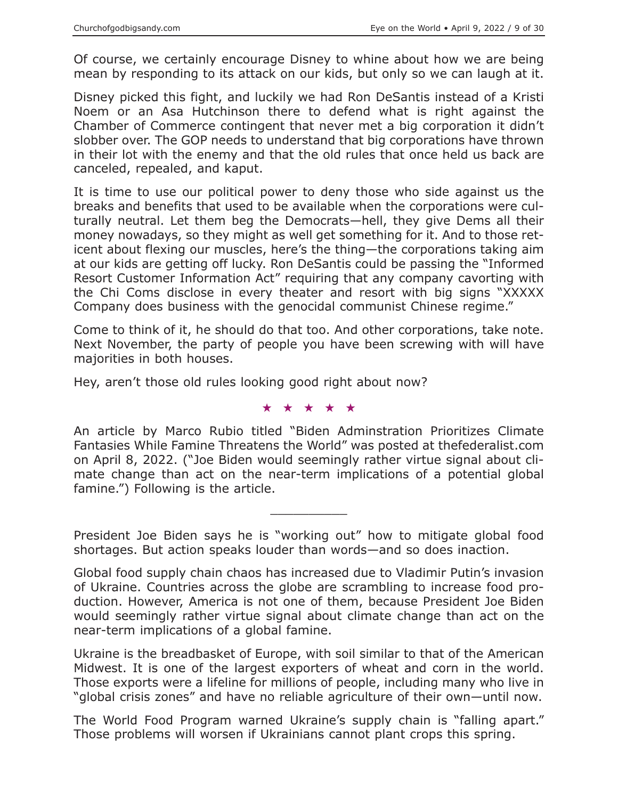Of course, we certainly encourage Disney to whine about how we are being mean by responding to its attack on our kids, but only so we can laugh at it.

Disney picked this fight, and luckily we had Ron DeSantis instead of a Kristi Noem or an Asa Hutchinson there to defend what is right against the Chamber of Commerce contingent that never met a big corporation it didn't slobber over. The GOP needs to understand that big corporations have thrown in their lot with the enemy and that the old rules that once held us back are canceled, repealed, and kaput.

It is time to use our political power to deny those who side against us the breaks and benefits that used to be available when the corporations were culturally neutral. Let them beg the Democrats—hell, they give Dems all their money nowadays, so they might as well get something for it. And to those reticent about flexing our muscles, here's the thing—the corporations taking aim at our kids are getting off lucky. Ron DeSantis could be passing the "Informed Resort Customer Information Act" requiring that any company cavorting with the Chi Coms disclose in every theater and resort with big signs "XXXXX Company does business with the genocidal communist Chinese regime."

Come to think of it, he should do that too. And other corporations, take note. Next November, the party of people you have been screwing with will have majorities in both houses.

Hey, aren't those old rules looking good right about now?

★★★★★

An article by Marco Rubio titled "Biden Adminstration Prioritizes Climate Fantasies While Famine Threatens the World" was posted at thefederalist.com on April 8, 2022. ("Joe Biden would seemingly rather virtue signal about climate change than act on the near-term implications of a potential global famine.") Following is the article.

President Joe Biden says he is "working out" how to mitigate global food shortages. But action speaks louder than words—and so does inaction.

 $\overline{\phantom{a}}$  , where  $\overline{\phantom{a}}$ 

Global food supply chain chaos has increased due to Vladimir Putin's invasion of Ukraine. Countries across the globe are scrambling to increase food production. However, America is not one of them, because President Joe Biden would seemingly rather virtue signal about climate change than act on the near-term implications of a global famine.

Ukraine is the breadbasket of Europe, with soil similar to that of the American Midwest. It is one of the largest exporters of wheat and corn in the world. Those exports were a lifeline for millions of people, including many who live in "global crisis zones" and have no reliable agriculture of their own—until now.

The World Food Program warned Ukraine's supply chain is "falling apart." Those problems will worsen if Ukrainians cannot plant crops this spring.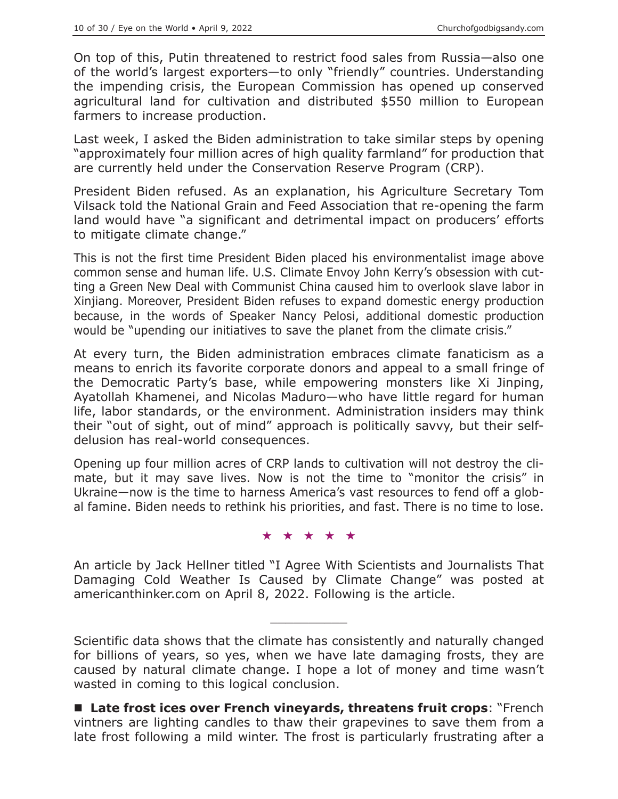On top of this, Putin threatened to restrict food sales from Russia—also one of the world's largest exporters—to only "friendly" countries. Understanding the impending crisis, the European Commission has opened up conserved agricultural land for cultivation and distributed \$550 million to European farmers to increase production.

Last week, I asked the Biden administration to take similar steps by opening "approximately four million acres of high quality farmland" for production that are currently held under the Conservation Reserve Program (CRP).

President Biden refused. As an explanation, his Agriculture Secretary Tom Vilsack told the National Grain and Feed Association that re-opening the farm land would have "a significant and detrimental impact on producers' efforts to mitigate climate change."

This is not the first time President Biden placed his environmentalist image above common sense and human life. U.S. Climate Envoy John Kerry's obsession with cutting a Green New Deal with Communist China caused him to overlook slave labor in Xinjiang. Moreover, President Biden refuses to expand domestic energy production because, in the words of Speaker Nancy Pelosi, additional domestic production would be "upending our initiatives to save the planet from the climate crisis."

At every turn, the Biden administration embraces climate fanaticism as a means to enrich its favorite corporate donors and appeal to a small fringe of the Democratic Party's base, while empowering monsters like Xi Jinping, Ayatollah Khamenei, and Nicolas Maduro—who have little regard for human life, labor standards, or the environment. Administration insiders may think their "out of sight, out of mind" approach is politically savvy, but their selfdelusion has real-world consequences.

Opening up four million acres of CRP lands to cultivation will not destroy the climate, but it may save lives. Now is not the time to "monitor the crisis" in Ukraine—now is the time to harness America's vast resources to fend off a global famine. Biden needs to rethink his priorities, and fast. There is no time to lose.

#### ★★★★★

An article by Jack Hellner titled "I Agree With Scientists and Journalists That Damaging Cold Weather Is Caused by Climate Change" was posted at americanthinker.com on April 8, 2022. Following is the article.

 $\overline{\phantom{a}}$  , where  $\overline{\phantom{a}}$ 

Scientific data shows that the climate has consistently and naturally changed for billions of years, so yes, when we have late damaging frosts, they are caused by natural climate change. I hope a lot of money and time wasn't wasted in coming to this logical conclusion.

**Late frost ices over French vineyards, threatens fruit crops**: "French vintners are lighting candles to thaw their grapevines to save them from a late frost following a mild winter. The frost is particularly frustrating after a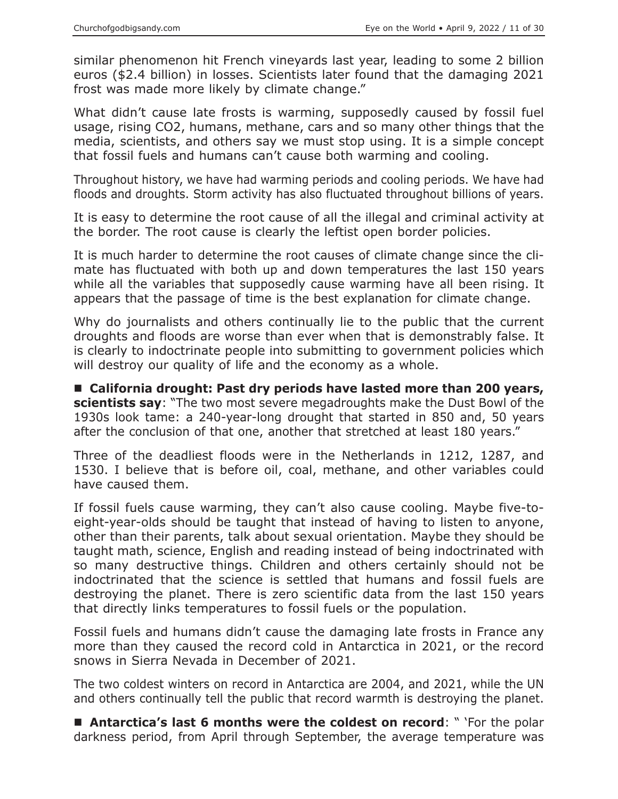similar phenomenon hit French vineyards last year, leading to some 2 billion euros (\$2.4 billion) in losses. Scientists later found that the damaging 2021 frost was made more likely by climate change."

What didn't cause late frosts is warming, supposedly caused by fossil fuel usage, rising CO2, humans, methane, cars and so many other things that the media, scientists, and others say we must stop using. It is a simple concept that fossil fuels and humans can't cause both warming and cooling.

Throughout history, we have had warming periods and cooling periods. We have had floods and droughts. Storm activity has also fluctuated throughout billions of years.

It is easy to determine the root cause of all the illegal and criminal activity at the border. The root cause is clearly the leftist open border policies.

It is much harder to determine the root causes of climate change since the climate has fluctuated with both up and down temperatures the last 150 years while all the variables that supposedly cause warming have all been rising. It appears that the passage of time is the best explanation for climate change.

Why do journalists and others continually lie to the public that the current droughts and floods are worse than ever when that is demonstrably false. It is clearly to indoctrinate people into submitting to government policies which will destroy our quality of life and the economy as a whole.

 **California drought: Past dry periods have lasted more than 200 years, scientists say**: "The two most severe megadroughts make the Dust Bowl of the 1930s look tame: a 240-year-long drought that started in 850 and, 50 years after the conclusion of that one, another that stretched at least 180 years."

Three of the deadliest floods were in the Netherlands in 1212, 1287, and 1530. I believe that is before oil, coal, methane, and other variables could have caused them.

If fossil fuels cause warming, they can't also cause cooling. Maybe five-toeight-year-olds should be taught that instead of having to listen to anyone, other than their parents, talk about sexual orientation. Maybe they should be taught math, science, English and reading instead of being indoctrinated with so many destructive things. Children and others certainly should not be indoctrinated that the science is settled that humans and fossil fuels are destroying the planet. There is zero scientific data from the last 150 years that directly links temperatures to fossil fuels or the population.

Fossil fuels and humans didn't cause the damaging late frosts in France any more than they caused the record cold in Antarctica in 2021, or the record snows in Sierra Nevada in December of 2021.

The two coldest winters on record in Antarctica are 2004, and 2021, while the UN and others continually tell the public that record warmth is destroying the planet.

 **Antarctica's last 6 months were the coldest on record**: " 'For the polar darkness period, from April through September, the average temperature was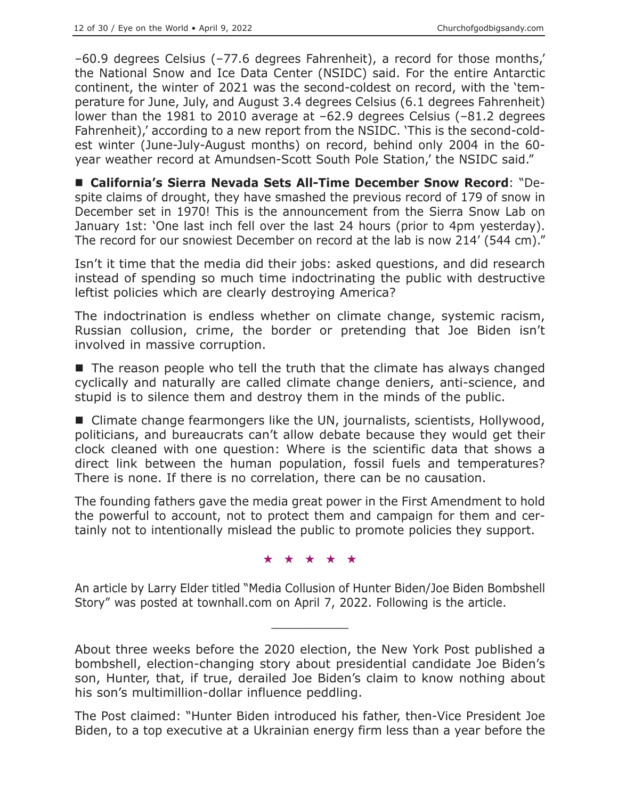–60.9 degrees Celsius (–77.6 degrees Fahrenheit), a record for those months,' the National Snow and Ice Data Center (NSIDC) said. For the entire Antarctic continent, the winter of 2021 was the second-coldest on record, with the 'temperature for June, July, and August 3.4 degrees Celsius (6.1 degrees Fahrenheit) lower than the 1981 to 2010 average at –62.9 degrees Celsius (–81.2 degrees Fahrenheit),' according to a new report from the NSIDC. 'This is the second-coldest winter (June-July-August months) on record, behind only 2004 in the 60 year weather record at Amundsen-Scott South Pole Station,' the NSIDC said."

 **California's Sierra Nevada Sets All-Time December Snow Record**: "Despite claims of drought, they have smashed the previous record of 179 of snow in December set in 1970! This is the announcement from the Sierra Snow Lab on January 1st: 'One last inch fell over the last 24 hours (prior to 4pm yesterday). The record for our snowiest December on record at the lab is now 214' (544 cm)."

Isn't it time that the media did their jobs: asked questions, and did research instead of spending so much time indoctrinating the public with destructive leftist policies which are clearly destroying America?

The indoctrination is endless whether on climate change, systemic racism, Russian collusion, crime, the border or pretending that Joe Biden isn't involved in massive corruption.

 $\blacksquare$  The reason people who tell the truth that the climate has always changed cyclically and naturally are called climate change deniers, anti-science, and stupid is to silence them and destroy them in the minds of the public.

■ Climate change fearmongers like the UN, journalists, scientists, Hollywood, politicians, and bureaucrats can't allow debate because they would get their clock cleaned with one question: Where is the scientific data that shows a direct link between the human population, fossil fuels and temperatures? There is none. If there is no correlation, there can be no causation.

The founding fathers gave the media great power in the First Amendment to hold the powerful to account, not to protect them and campaign for them and certainly not to intentionally mislead the public to promote policies they support.

#### ★★★★★

An article by Larry Elder titled "Media Collusion of Hunter Biden/Joe Biden Bombshell Story" was posted at townhall.com on April 7, 2022. Following is the article.

 $\overline{\phantom{a}}$  , where  $\overline{\phantom{a}}$ 

About three weeks before the 2020 election, the New York Post published a bombshell, election-changing story about presidential candidate Joe Biden's son, Hunter, that, if true, derailed Joe Biden's claim to know nothing about his son's multimillion-dollar influence peddling.

The Post claimed: "Hunter Biden introduced his father, then-Vice President Joe Biden, to a top executive at a Ukrainian energy firm less than a year before the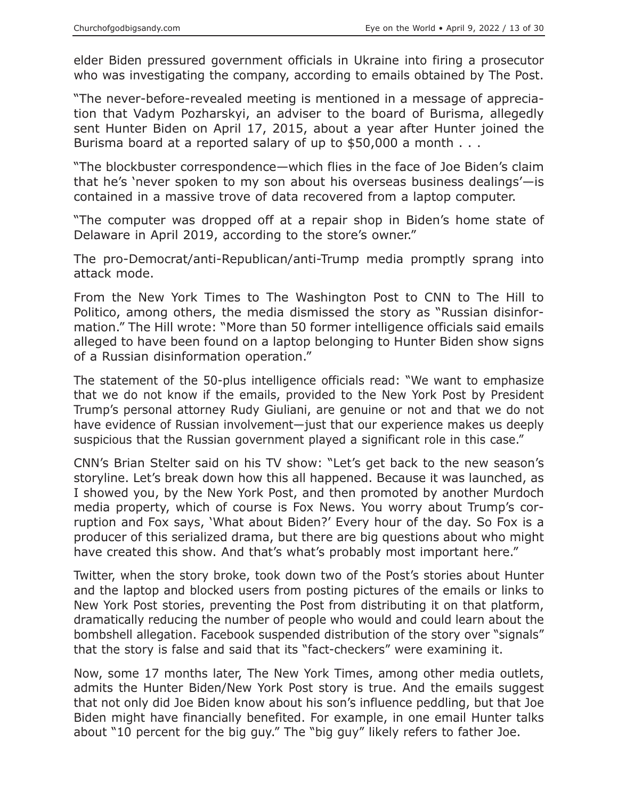elder Biden pressured government officials in Ukraine into firing a prosecutor who was investigating the company, according to emails obtained by The Post.

"The never-before-revealed meeting is mentioned in a message of appreciation that Vadym Pozharskyi, an adviser to the board of Burisma, allegedly sent Hunter Biden on April 17, 2015, about a year after Hunter joined the Burisma board at a reported salary of up to \$50,000 a month . . .

"The blockbuster correspondence—which flies in the face of Joe Biden's claim that he's 'never spoken to my son about his overseas business dealings'—is contained in a massive trove of data recovered from a laptop computer.

"The computer was dropped off at a repair shop in Biden's home state of Delaware in April 2019, according to the store's owner."

The pro-Democrat/anti-Republican/anti-Trump media promptly sprang into attack mode.

From the New York Times to The Washington Post to CNN to The Hill to Politico, among others, the media dismissed the story as "Russian disinformation." The Hill wrote: "More than 50 former intelligence officials said emails alleged to have been found on a laptop belonging to Hunter Biden show signs of a Russian disinformation operation."

The statement of the 50-plus intelligence officials read: "We want to emphasize that we do not know if the emails, provided to the New York Post by President Trump's personal attorney Rudy Giuliani, are genuine or not and that we do not have evidence of Russian involvement—just that our experience makes us deeply suspicious that the Russian government played a significant role in this case."

CNN's Brian Stelter said on his TV show: "Let's get back to the new season's storyline. Let's break down how this all happened. Because it was launched, as I showed you, by the New York Post, and then promoted by another Murdoch media property, which of course is Fox News. You worry about Trump's corruption and Fox says, 'What about Biden?' Every hour of the day. So Fox is a producer of this serialized drama, but there are big questions about who might have created this show. And that's what's probably most important here."

Twitter, when the story broke, took down two of the Post's stories about Hunter and the laptop and blocked users from posting pictures of the emails or links to New York Post stories, preventing the Post from distributing it on that platform, dramatically reducing the number of people who would and could learn about the bombshell allegation. Facebook suspended distribution of the story over "signals" that the story is false and said that its "fact-checkers" were examining it.

Now, some 17 months later, The New York Times, among other media outlets, admits the Hunter Biden/New York Post story is true. And the emails suggest that not only did Joe Biden know about his son's influence peddling, but that Joe Biden might have financially benefited. For example, in one email Hunter talks about "10 percent for the big guy." The "big guy" likely refers to father Joe.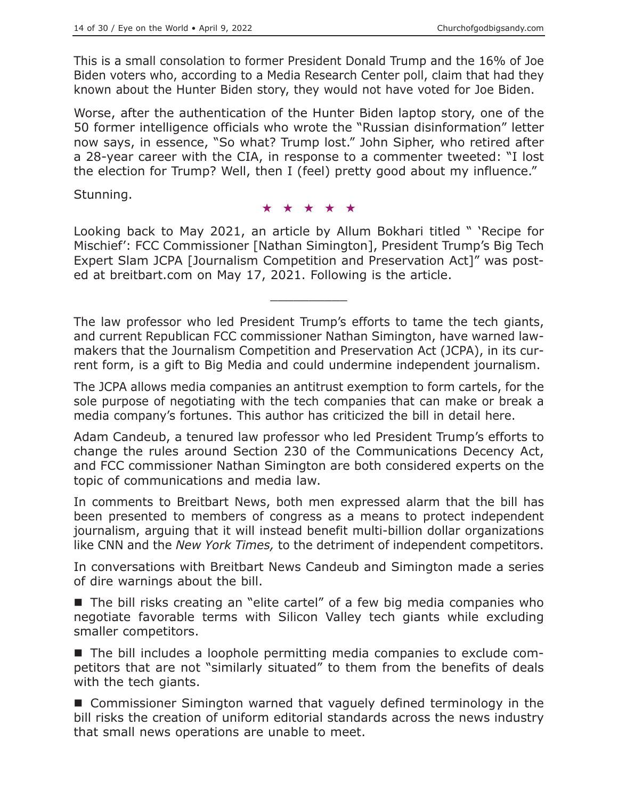This is a small consolation to former President Donald Trump and the 16% of Joe Biden voters who, according to a Media Research Center poll, claim that had they known about the Hunter Biden story, they would not have voted for Joe Biden.

Worse, after the authentication of the Hunter Biden laptop story, one of the 50 former intelligence officials who wrote the "Russian disinformation" letter now says, in essence, "So what? Trump lost." John Sipher, who retired after a 28-year career with the CIA, in response to a commenter tweeted: "I lost the election for Trump? Well, then I (feel) pretty good about my influence."

Stunning.

#### ★★★★★

Looking back to May 2021, an article by Allum Bokhari titled " 'Recipe for Mischief': FCC Commissioner [Nathan Simington], President Trump's Big Tech Expert Slam JCPA [Journalism Competition and Preservation Act]" was posted at breitbart.com on May 17, 2021. Following is the article.

 $\overline{\phantom{a}}$  , where  $\overline{\phantom{a}}$ 

The law professor who led President Trump's efforts to tame the tech giants, and current Republican FCC commissioner Nathan Simington, have warned lawmakers that the Journalism Competition and Preservation Act (JCPA), in its current form, is a gift to Big Media and could undermine independent journalism.

The JCPA allows media companies an antitrust exemption to form cartels, for the sole purpose of negotiating with the tech companies that can make or break a media company's fortunes. This author has criticized the bill in detail here.

Adam Candeub, a tenured law professor who led President Trump's efforts to change the rules around Section 230 of the Communications Decency Act, and FCC commissioner Nathan Simington are both considered experts on the topic of communications and media law.

In comments to Breitbart News, both men expressed alarm that the bill has been presented to members of congress as a means to protect independent journalism, arguing that it will instead benefit multi-billion dollar organizations like CNN and the *New York Times,* to the detriment of independent competitors.

In conversations with Breitbart News Candeub and Simington made a series of dire warnings about the bill.

■ The bill risks creating an "elite cartel" of a few big media companies who negotiate favorable terms with Silicon Valley tech giants while excluding smaller competitors.

 The bill includes a loophole permitting media companies to exclude competitors that are not "similarly situated" to them from the benefits of deals with the tech giants.

■ Commissioner Simington warned that vaguely defined terminology in the bill risks the creation of uniform editorial standards across the news industry that small news operations are unable to meet.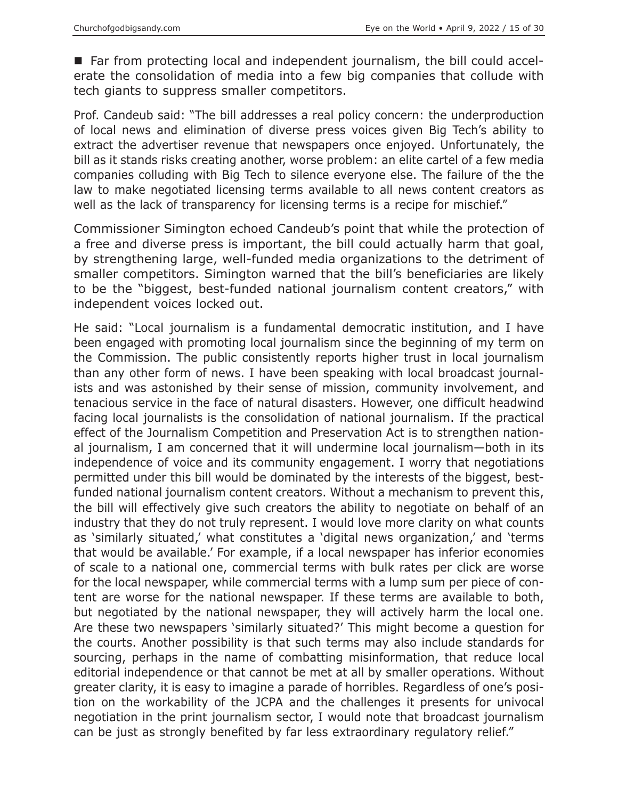■ Far from protecting local and independent journalism, the bill could accelerate the consolidation of media into a few big companies that collude with tech giants to suppress smaller competitors.

Prof. Candeub said: "The bill addresses a real policy concern: the underproduction of local news and elimination of diverse press voices given Big Tech's ability to extract the advertiser revenue that newspapers once enjoyed. Unfortunately, the bill as it stands risks creating another, worse problem: an elite cartel of a few media companies colluding with Big Tech to silence everyone else. The failure of the the law to make negotiated licensing terms available to all news content creators as well as the lack of transparency for licensing terms is a recipe for mischief."

Commissioner Simington echoed Candeub's point that while the protection of a free and diverse press is important, the bill could actually harm that goal, by strengthening large, well-funded media organizations to the detriment of smaller competitors. Simington warned that the bill's beneficiaries are likely to be the "biggest, best-funded national journalism content creators," with independent voices locked out.

He said: "Local journalism is a fundamental democratic institution, and I have been engaged with promoting local journalism since the beginning of my term on the Commission. The public consistently reports higher trust in local journalism than any other form of news. I have been speaking with local broadcast journalists and was astonished by their sense of mission, community involvement, and tenacious service in the face of natural disasters. However, one difficult headwind facing local journalists is the consolidation of national journalism. If the practical effect of the Journalism Competition and Preservation Act is to strengthen national journalism, I am concerned that it will undermine local journalism—both in its independence of voice and its community engagement. I worry that negotiations permitted under this bill would be dominated by the interests of the biggest, bestfunded national journalism content creators. Without a mechanism to prevent this, the bill will effectively give such creators the ability to negotiate on behalf of an industry that they do not truly represent. I would love more clarity on what counts as 'similarly situated,' what constitutes a 'digital news organization,' and 'terms that would be available.' For example, if a local newspaper has inferior economies of scale to a national one, commercial terms with bulk rates per click are worse for the local newspaper, while commercial terms with a lump sum per piece of content are worse for the national newspaper. If these terms are available to both, but negotiated by the national newspaper, they will actively harm the local one. Are these two newspapers 'similarly situated?' This might become a question for the courts. Another possibility is that such terms may also include standards for sourcing, perhaps in the name of combatting misinformation, that reduce local editorial independence or that cannot be met at all by smaller operations. Without greater clarity, it is easy to imagine a parade of horribles. Regardless of one's position on the workability of the JCPA and the challenges it presents for univocal negotiation in the print journalism sector, I would note that broadcast journalism can be just as strongly benefited by far less extraordinary regulatory relief."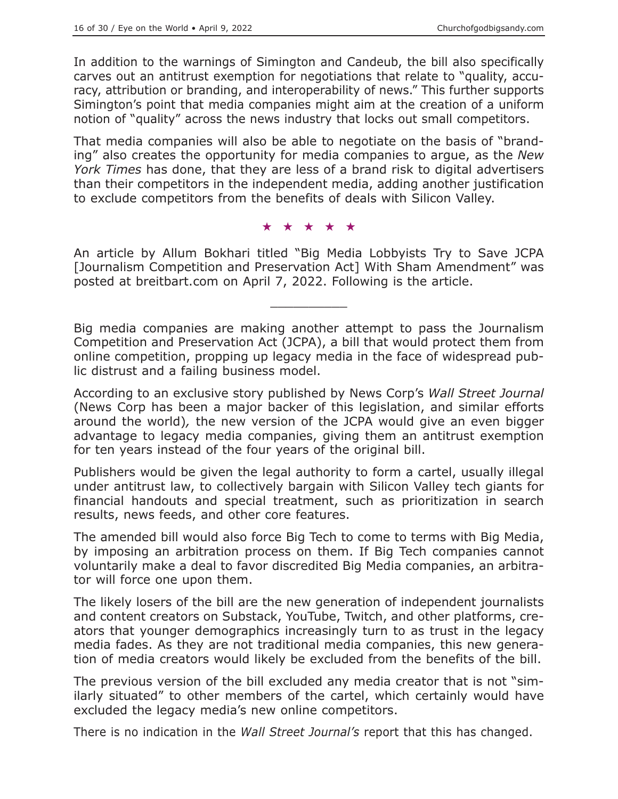In addition to the warnings of Simington and Candeub, the bill also specifically carves out an antitrust exemption for negotiations that relate to "quality, accuracy, attribution or branding, and interoperability of news." This further supports Simington's point that media companies might aim at the creation of a uniform notion of "quality" across the news industry that locks out small competitors.

That media companies will also be able to negotiate on the basis of "branding" also creates the opportunity for media companies to argue, as the *New York Times* has done, that they are less of a brand risk to digital advertisers than their competitors in the independent media, adding another justification to exclude competitors from the benefits of deals with Silicon Valley.

#### ★★★★★

An article by Allum Bokhari titled "Big Media Lobbyists Try to Save JCPA [Journalism Competition and Preservation Act] With Sham Amendment" was posted at breitbart.com on April 7, 2022. Following is the article.

 $\overline{\phantom{a}}$  , where  $\overline{\phantom{a}}$ 

Big media companies are making another attempt to pass the Journalism Competition and Preservation Act (JCPA), a bill that would protect them from online competition, propping up legacy media in the face of widespread public distrust and a failing business model.

According to an exclusive story published by News Corp's *Wall Street Journal* (News Corp has been a major backer of this legislation, and similar efforts around the world)*,* the new version of the JCPA would give an even bigger advantage to legacy media companies, giving them an antitrust exemption for ten years instead of the four years of the original bill.

Publishers would be given the legal authority to form a cartel, usually illegal under antitrust law, to collectively bargain with Silicon Valley tech giants for financial handouts and special treatment, such as prioritization in search results, news feeds, and other core features.

The amended bill would also force Big Tech to come to terms with Big Media, by imposing an arbitration process on them. If Big Tech companies cannot voluntarily make a deal to favor discredited Big Media companies, an arbitrator will force one upon them.

The likely losers of the bill are the new generation of independent journalists and content creators on Substack, YouTube, Twitch, and other platforms, creators that younger demographics increasingly turn to as trust in the legacy media fades. As they are not traditional media companies, this new generation of media creators would likely be excluded from the benefits of the bill.

The previous version of the bill excluded any media creator that is not "similarly situated" to other members of the cartel, which certainly would have excluded the legacy media's new online competitors.

There is no indication in the *Wall Street Journal's* report that this has changed.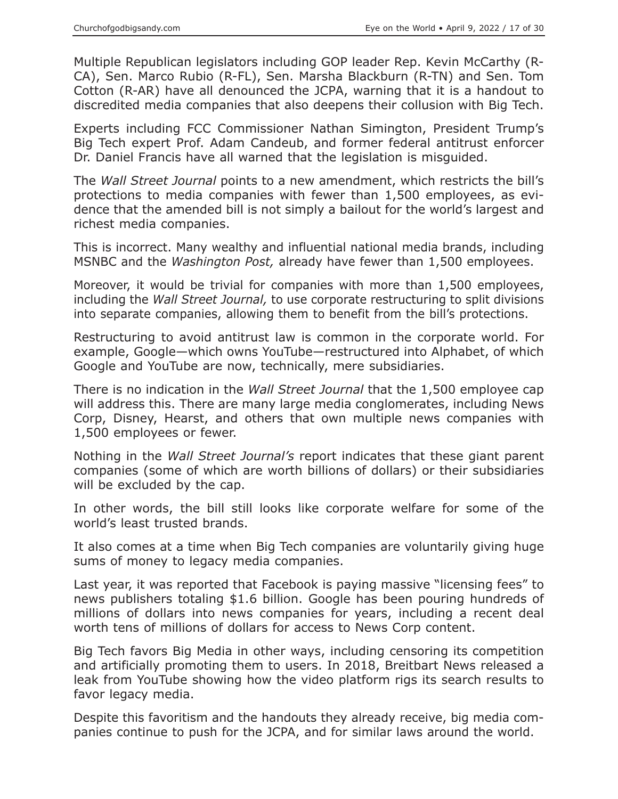Multiple Republican legislators including GOP leader Rep. Kevin McCarthy (R-CA), Sen. Marco Rubio (R-FL), Sen. Marsha Blackburn (R-TN) and Sen. Tom Cotton (R-AR) have all denounced the JCPA, warning that it is a handout to discredited media companies that also deepens their collusion with Big Tech.

Experts including FCC Commissioner Nathan Simington, President Trump's Big Tech expert Prof. Adam Candeub, and former federal antitrust enforcer Dr. Daniel Francis have all warned that the legislation is misguided.

The *Wall Street Journal* points to a new amendment, which restricts the bill's protections to media companies with fewer than 1,500 employees, as evidence that the amended bill is not simply a bailout for the world's largest and richest media companies.

This is incorrect. Many wealthy and influential national media brands, including MSNBC and the *Washington Post,* already have fewer than 1,500 employees.

Moreover, it would be trivial for companies with more than 1,500 employees, including the *Wall Street Journal,* to use corporate restructuring to split divisions into separate companies, allowing them to benefit from the bill's protections.

Restructuring to avoid antitrust law is common in the corporate world. For example, Google—which owns YouTube—restructured into Alphabet, of which Google and YouTube are now, technically, mere subsidiaries.

There is no indication in the *Wall Street Journal* that the 1,500 employee cap will address this. There are many large media conglomerates, including News Corp, Disney, Hearst, and others that own multiple news companies with 1,500 employees or fewer.

Nothing in the *Wall Street Journal's* report indicates that these giant parent companies (some of which are worth billions of dollars) or their subsidiaries will be excluded by the cap.

In other words, the bill still looks like corporate welfare for some of the world's least trusted brands.

It also comes at a time when Big Tech companies are voluntarily giving huge sums of money to legacy media companies.

Last year, it was reported that Facebook is paying massive "licensing fees" to news publishers totaling \$1.6 billion. Google has been pouring hundreds of millions of dollars into news companies for years, including a recent deal worth tens of millions of dollars for access to News Corp content.

Big Tech favors Big Media in other ways, including censoring its competition and artificially promoting them to users. In 2018, Breitbart News released a leak from YouTube showing how the video platform rigs its search results to favor legacy media.

Despite this favoritism and the handouts they already receive, big media companies continue to push for the JCPA, and for similar laws around the world.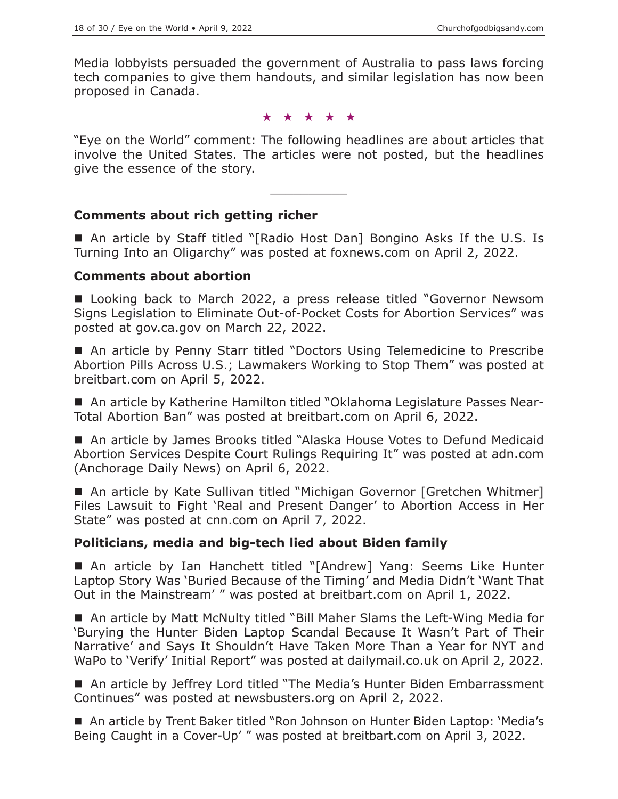Media lobbyists persuaded the government of Australia to pass laws forcing tech companies to give them handouts, and similar legislation has now been proposed in Canada.

★★★★★

"Eye on the World" comment: The following headlines are about articles that involve the United States. The articles were not posted, but the headlines give the essence of the story.

 $\overline{\phantom{a}}$  , where  $\overline{\phantom{a}}$ 

## **Comments about rich getting richer**

■ An article by Staff titled "[Radio Host Dan] Bongino Asks If the U.S. Is Turning Into an Oligarchy" was posted at foxnews.com on April 2, 2022.

#### **Comments about abortion**

■ Looking back to March 2022, a press release titled "Governor Newsom Signs Legislation to Eliminate Out-of-Pocket Costs for Abortion Services" was posted at gov.ca.gov on March 22, 2022.

■ An article by Penny Starr titled "Doctors Using Telemedicine to Prescribe Abortion Pills Across U.S.; Lawmakers Working to Stop Them" was posted at breitbart.com on April 5, 2022.

 An article by Katherine Hamilton titled "Oklahoma Legislature Passes Near-Total Abortion Ban" was posted at breitbart.com on April 6, 2022.

■ An article by James Brooks titled "Alaska House Votes to Defund Medicaid Abortion Services Despite Court Rulings Requiring It" was posted at adn.com (Anchorage Daily News) on April 6, 2022.

■ An article by Kate Sullivan titled "Michigan Governor [Gretchen Whitmer] Files Lawsuit to Fight 'Real and Present Danger' to Abortion Access in Her State" was posted at cnn.com on April 7, 2022.

## **Politicians, media and big-tech lied about Biden family**

■ An article by Ian Hanchett titled "[Andrew] Yang: Seems Like Hunter Laptop Story Was 'Buried Because of the Timing' and Media Didn't 'Want That Out in the Mainstream' " was posted at breitbart.com on April 1, 2022.

■ An article by Matt McNulty titled "Bill Maher Slams the Left-Wing Media for 'Burying the Hunter Biden Laptop Scandal Because It Wasn't Part of Their Narrative' and Says It Shouldn't Have Taken More Than a Year for NYT and WaPo to 'Verify' Initial Report" was posted at dailymail.co.uk on April 2, 2022.

■ An article by Jeffrey Lord titled "The Media's Hunter Biden Embarrassment Continues" was posted at newsbusters.org on April 2, 2022.

■ An article by Trent Baker titled "Ron Johnson on Hunter Biden Laptop: 'Media's Being Caught in a Cover-Up' " was posted at breitbart.com on April 3, 2022.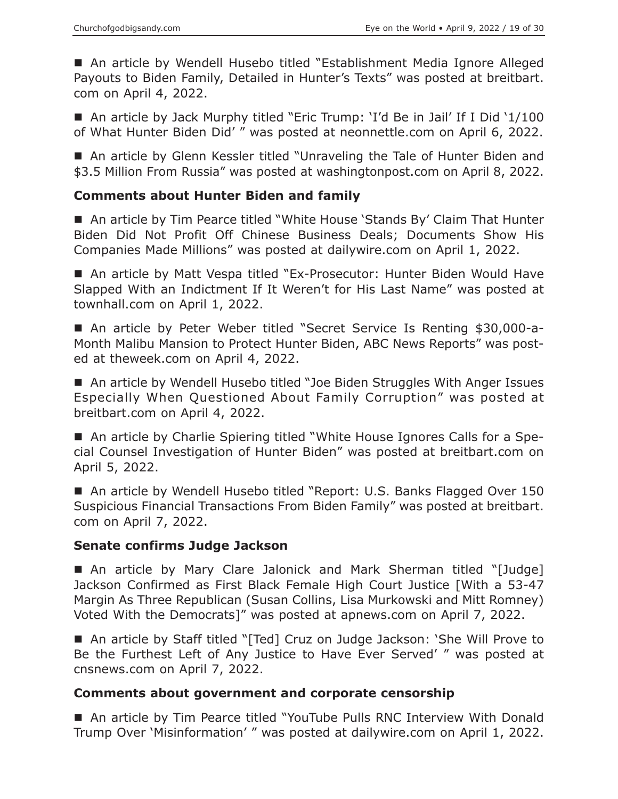■ An article by Wendell Husebo titled "Establishment Media Ignore Alleged Payouts to Biden Family, Detailed in Hunter's Texts" was posted at breitbart. com on April 4, 2022.

■ An article by Jack Murphy titled "Eric Trump: 'I'd Be in Jail' If I Did '1/100 of What Hunter Biden Did' " was posted at neonnettle.com on April 6, 2022.

■ An article by Glenn Kessler titled "Unraveling the Tale of Hunter Biden and \$3.5 Million From Russia" was posted at washingtonpost.com on April 8, 2022.

## **Comments about Hunter Biden and family**

■ An article by Tim Pearce titled "White House 'Stands By' Claim That Hunter Biden Did Not Profit Off Chinese Business Deals; Documents Show His Companies Made Millions" was posted at dailywire.com on April 1, 2022.

■ An article by Matt Vespa titled "Ex-Prosecutor: Hunter Biden Would Have Slapped With an Indictment If It Weren't for His Last Name" was posted at townhall.com on April 1, 2022.

 An article by Peter Weber titled "Secret Service Is Renting \$30,000-a-Month Malibu Mansion to Protect Hunter Biden, ABC News Reports" was posted at theweek.com on April 4, 2022.

■ An article by Wendell Husebo titled "Joe Biden Struggles With Anger Issues Especially When Questioned About Family Corruption" was posted at breitbart.com on April 4, 2022.

 An article by Charlie Spiering titled "White House Ignores Calls for a Special Counsel Investigation of Hunter Biden" was posted at breitbart.com on April 5, 2022.

■ An article by Wendell Husebo titled "Report: U.S. Banks Flagged Over 150 Suspicious Financial Transactions From Biden Family" was posted at breitbart. com on April 7, 2022.

## **Senate confirms Judge Jackson**

 An article by Mary Clare Jalonick and Mark Sherman titled "[Judge] Jackson Confirmed as First Black Female High Court Justice [With a 53-47 Margin As Three Republican (Susan Collins, Lisa Murkowski and Mitt Romney) Voted With the Democrats]" was posted at apnews.com on April 7, 2022.

■ An article by Staff titled "[Ted] Cruz on Judge Jackson: 'She Will Prove to Be the Furthest Left of Any Justice to Have Ever Served' " was posted at cnsnews.com on April 7, 2022.

## **Comments about government and corporate censorship**

■ An article by Tim Pearce titled "YouTube Pulls RNC Interview With Donald Trump Over 'Misinformation' " was posted at dailywire.com on April 1, 2022.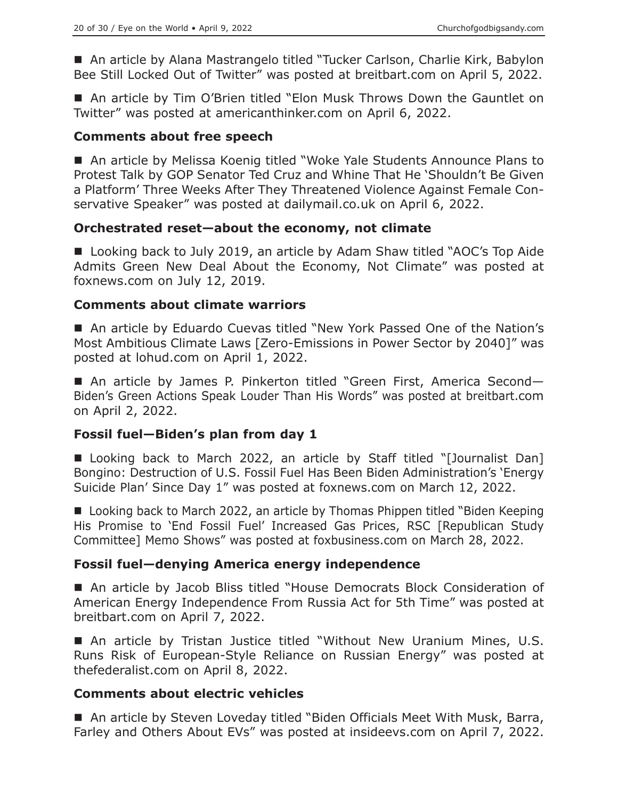■ An article by Alana Mastrangelo titled "Tucker Carlson, Charlie Kirk, Babylon Bee Still Locked Out of Twitter" was posted at breitbart.com on April 5, 2022.

 An article by Tim O'Brien titled "Elon Musk Throws Down the Gauntlet on Twitter" was posted at americanthinker.com on April 6, 2022.

#### **Comments about free speech**

■ An article by Melissa Koenig titled "Woke Yale Students Announce Plans to Protest Talk by GOP Senator Ted Cruz and Whine That He 'Shouldn't Be Given a Platform' Three Weeks After They Threatened Violence Against Female Conservative Speaker" was posted at dailymail.co.uk on April 6, 2022.

#### **Orchestrated reset—about the economy, not climate**

■ Looking back to July 2019, an article by Adam Shaw titled "AOC's Top Aide Admits Green New Deal About the Economy, Not Climate" was posted at foxnews.com on July 12, 2019.

#### **Comments about climate warriors**

■ An article by Eduardo Cuevas titled "New York Passed One of the Nation's Most Ambitious Climate Laws [Zero-Emissions in Power Sector by 2040]" was posted at lohud.com on April 1, 2022.

■ An article by James P. Pinkerton titled "Green First, America Second-Biden's Green Actions Speak Louder Than His Words" was posted at breitbart.com on April 2, 2022.

## **Fossil fuel—Biden's plan from day 1**

■ Looking back to March 2022, an article by Staff titled "[Journalist Dan] Bongino: Destruction of U.S. Fossil Fuel Has Been Biden Administration's 'Energy Suicide Plan' Since Day 1" was posted at foxnews.com on March 12, 2022.

■ Looking back to March 2022, an article by Thomas Phippen titled "Biden Keeping His Promise to 'End Fossil Fuel' Increased Gas Prices, RSC [Republican Study Committee] Memo Shows" was posted at foxbusiness.com on March 28, 2022.

## **Fossil fuel—denying America energy independence**

■ An article by Jacob Bliss titled "House Democrats Block Consideration of American Energy Independence From Russia Act for 5th Time" was posted at breitbart.com on April 7, 2022.

 An article by Tristan Justice titled "Without New Uranium Mines, U.S. Runs Risk of European-Style Reliance on Russian Energy" was posted at thefederalist.com on April 8, 2022.

## **Comments about electric vehicles**

■ An article by Steven Loveday titled "Biden Officials Meet With Musk, Barra, Farley and Others About EVs" was posted at insideevs.com on April 7, 2022.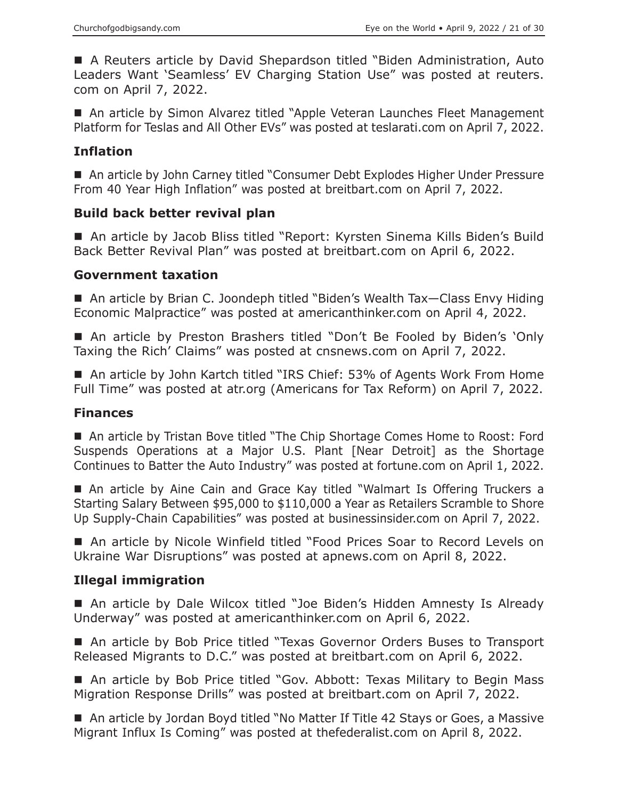A Reuters article by David Shepardson titled "Biden Administration, Auto Leaders Want 'Seamless' EV Charging Station Use" was posted at reuters. com on April 7, 2022.

■ An article by Simon Alvarez titled "Apple Veteran Launches Fleet Management Platform for Teslas and All Other EVs" was posted at teslarati.com on April 7, 2022.

# **Inflation**

■ An article by John Carney titled "Consumer Debt Explodes Higher Under Pressure From 40 Year High Inflation" was posted at breitbart.com on April 7, 2022.

# **Build back better revival plan**

■ An article by Jacob Bliss titled "Report: Kyrsten Sinema Kills Biden's Build Back Better Revival Plan" was posted at breitbart.com on April 6, 2022.

## **Government taxation**

■ An article by Brian C. Joondeph titled "Biden's Wealth Tax-Class Envy Hiding Economic Malpractice" was posted at americanthinker.com on April 4, 2022.

■ An article by Preston Brashers titled "Don't Be Fooled by Biden's 'Only Taxing the Rich' Claims" was posted at cnsnews.com on April 7, 2022.

■ An article by John Kartch titled "IRS Chief: 53% of Agents Work From Home Full Time" was posted at atr.org (Americans for Tax Reform) on April 7, 2022.

# **Finances**

■ An article by Tristan Bove titled "The Chip Shortage Comes Home to Roost: Ford Suspends Operations at a Major U.S. Plant [Near Detroit] as the Shortage Continues to Batter the Auto Industry" was posted at fortune.com on April 1, 2022.

 An article by Aine Cain and Grace Kay titled "Walmart Is Offering Truckers a Starting Salary Between \$95,000 to \$110,000 a Year as Retailers Scramble to Shore Up Supply-Chain Capabilities" was posted at businessinsider.com on April 7, 2022.

■ An article by Nicole Winfield titled "Food Prices Soar to Record Levels on Ukraine War Disruptions" was posted at apnews.com on April 8, 2022.

# **Illegal immigration**

■ An article by Dale Wilcox titled "Joe Biden's Hidden Amnesty Is Already Underway" was posted at americanthinker.com on April 6, 2022.

■ An article by Bob Price titled "Texas Governor Orders Buses to Transport Released Migrants to D.C." was posted at breitbart.com on April 6, 2022.

■ An article by Bob Price titled "Gov. Abbott: Texas Military to Begin Mass Migration Response Drills" was posted at breitbart.com on April 7, 2022.

■ An article by Jordan Boyd titled "No Matter If Title 42 Stays or Goes, a Massive Migrant Influx Is Coming" was posted at thefederalist.com on April 8, 2022.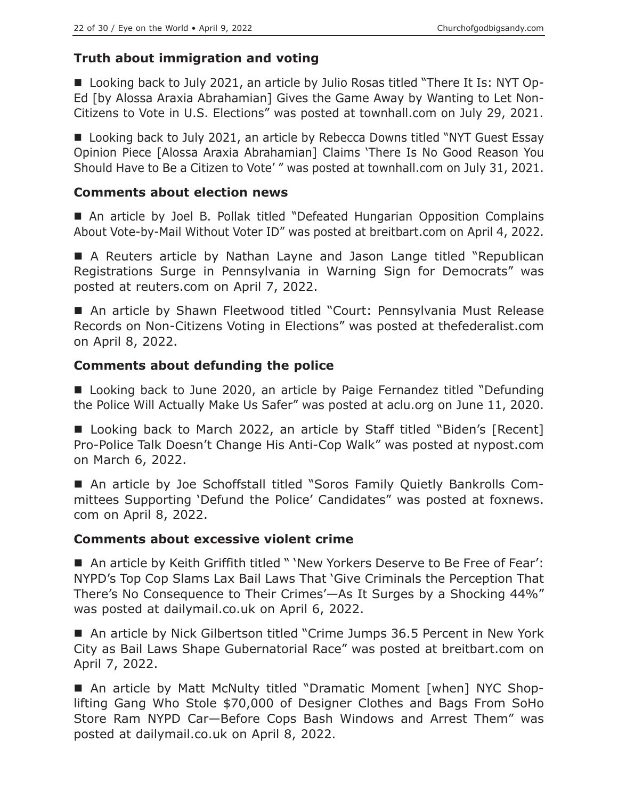## **Truth about immigration and voting**

■ Looking back to July 2021, an article by Julio Rosas titled "There It Is: NYT Op-Ed [by Alossa Araxia Abrahamian] Gives the Game Away by Wanting to Let Non-Citizens to Vote in U.S. Elections" was posted at townhall.com on July 29, 2021.

■ Looking back to July 2021, an article by Rebecca Downs titled "NYT Guest Essay Opinion Piece [Alossa Araxia Abrahamian] Claims 'There Is No Good Reason You Should Have to Be a Citizen to Vote' " was posted at townhall.com on July 31, 2021.

## **Comments about election news**

 An article by Joel B. Pollak titled "Defeated Hungarian Opposition Complains About Vote-by-Mail Without Voter ID" was posted at breitbart.com on April 4, 2022.

 A Reuters article by Nathan Layne and Jason Lange titled "Republican Registrations Surge in Pennsylvania in Warning Sign for Democrats" was posted at reuters.com on April 7, 2022.

 An article by Shawn Fleetwood titled "Court: Pennsylvania Must Release Records on Non-Citizens Voting in Elections" was posted at thefederalist.com on April 8, 2022.

## **Comments about defunding the police**

■ Looking back to June 2020, an article by Paige Fernandez titled "Defunding the Police Will Actually Make Us Safer" was posted at aclu.org on June 11, 2020.

■ Looking back to March 2022, an article by Staff titled "Biden's [Recent] Pro-Police Talk Doesn't Change His Anti-Cop Walk" was posted at nypost.com on March 6, 2022.

 An article by Joe Schoffstall titled "Soros Family Quietly Bankrolls Committees Supporting 'Defund the Police' Candidates" was posted at foxnews. com on April 8, 2022.

## **Comments about excessive violent crime**

■ An article by Keith Griffith titled " 'New Yorkers Deserve to Be Free of Fear': NYPD's Top Cop Slams Lax Bail Laws That 'Give Criminals the Perception That There's No Consequence to Their Crimes'—As It Surges by a Shocking 44%" was posted at dailymail.co.uk on April 6, 2022.

■ An article by Nick Gilbertson titled "Crime Jumps 36.5 Percent in New York City as Bail Laws Shape Gubernatorial Race" was posted at breitbart.com on April 7, 2022.

 An article by Matt McNulty titled "Dramatic Moment [when] NYC Shoplifting Gang Who Stole \$70,000 of Designer Clothes and Bags From SoHo Store Ram NYPD Car—Before Cops Bash Windows and Arrest Them" was posted at dailymail.co.uk on April 8, 2022.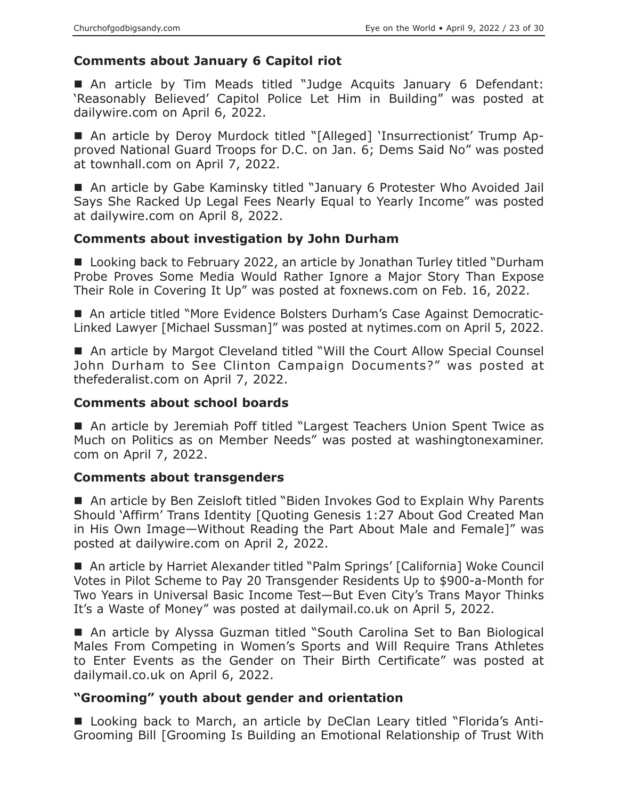#### **Comments about January 6 Capitol riot**

■ An article by Tim Meads titled "Judge Acquits January 6 Defendant: 'Reasonably Believed' Capitol Police Let Him in Building" was posted at dailywire.com on April 6, 2022.

 An article by Deroy Murdock titled "[Alleged] 'Insurrectionist' Trump Approved National Guard Troops for D.C. on Jan. 6; Dems Said No" was posted at townhall.com on April 7, 2022.

■ An article by Gabe Kaminsky titled "January 6 Protester Who Avoided Jail Says She Racked Up Legal Fees Nearly Equal to Yearly Income" was posted at dailywire.com on April 8, 2022.

#### **Comments about investigation by John Durham**

■ Looking back to February 2022, an article by Jonathan Turley titled "Durham Probe Proves Some Media Would Rather Ignore a Major Story Than Expose Their Role in Covering It Up" was posted at foxnews.com on Feb. 16, 2022.

■ An article titled "More Evidence Bolsters Durham's Case Against Democratic-Linked Lawyer [Michael Sussman]" was posted at nytimes.com on April 5, 2022.

■ An article by Margot Cleveland titled "Will the Court Allow Special Counsel John Durham to See Clinton Campaign Documents?" was posted at thefederalist.com on April 7, 2022.

#### **Comments about school boards**

■ An article by Jeremiah Poff titled "Largest Teachers Union Spent Twice as Much on Politics as on Member Needs" was posted at washingtonexaminer. com on April 7, 2022.

#### **Comments about transgenders**

■ An article by Ben Zeisloft titled "Biden Invokes God to Explain Why Parents Should 'Affirm' Trans Identity [Quoting Genesis 1:27 About God Created Man in His Own Image—Without Reading the Part About Male and Female]" was posted at dailywire.com on April 2, 2022.

■ An article by Harriet Alexander titled "Palm Springs' [California] Woke Council Votes in Pilot Scheme to Pay 20 Transgender Residents Up to \$900-a-Month for Two Years in Universal Basic Income Test—But Even City's Trans Mayor Thinks It's a Waste of Money" was posted at dailymail.co.uk on April 5, 2022.

■ An article by Alyssa Guzman titled "South Carolina Set to Ban Biological Males From Competing in Women's Sports and Will Require Trans Athletes to Enter Events as the Gender on Their Birth Certificate" was posted at dailymail.co.uk on April 6, 2022.

#### **"Grooming" youth about gender and orientation**

■ Looking back to March, an article by DeClan Leary titled "Florida's Anti-Grooming Bill [Grooming Is Building an Emotional Relationship of Trust With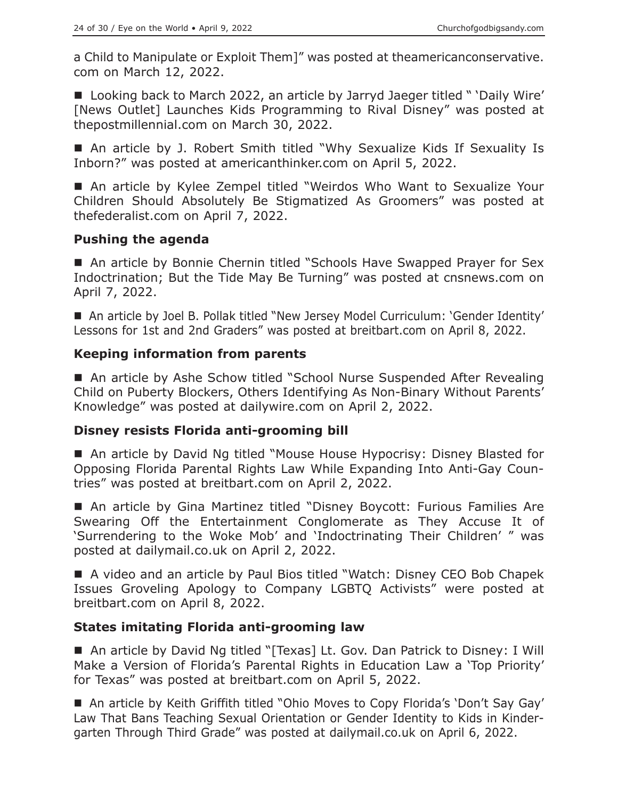a Child to Manipulate or Exploit Them]" was posted at theamericanconservative. com on March 12, 2022.

■ Looking back to March 2022, an article by Jarryd Jaeger titled " 'Daily Wire' [News Outlet] Launches Kids Programming to Rival Disney" was posted at thepostmillennial.com on March 30, 2022.

■ An article by J. Robert Smith titled "Why Sexualize Kids If Sexuality Is Inborn?" was posted at americanthinker.com on April 5, 2022.

■ An article by Kylee Zempel titled "Weirdos Who Want to Sexualize Your Children Should Absolutely Be Stigmatized As Groomers" was posted at thefederalist.com on April 7, 2022.

## **Pushing the agenda**

■ An article by Bonnie Chernin titled "Schools Have Swapped Prayer for Sex Indoctrination; But the Tide May Be Turning" was posted at cnsnews.com on April 7, 2022.

■ An article by Joel B. Pollak titled "New Jersey Model Curriculum: 'Gender Identity' Lessons for 1st and 2nd Graders" was posted at breitbart.com on April 8, 2022.

## **Keeping information from parents**

■ An article by Ashe Schow titled "School Nurse Suspended After Revealing Child on Puberty Blockers, Others Identifying As Non-Binary Without Parents' Knowledge" was posted at dailywire.com on April 2, 2022.

## **Disney resists Florida anti-grooming bill**

■ An article by David Ng titled "Mouse House Hypocrisy: Disney Blasted for Opposing Florida Parental Rights Law While Expanding Into Anti-Gay Countries" was posted at breitbart.com on April 2, 2022.

 An article by Gina Martinez titled "Disney Boycott: Furious Families Are Swearing Off the Entertainment Conglomerate as They Accuse It of 'Surrendering to the Woke Mob' and 'Indoctrinating Their Children' " was posted at dailymail.co.uk on April 2, 2022.

■ A video and an article by Paul Bios titled "Watch: Disney CEO Bob Chapek Issues Groveling Apology to Company LGBTQ Activists" were posted at breitbart.com on April 8, 2022.

# **States imitating Florida anti-grooming law**

■ An article by David Ng titled "[Texas] Lt. Gov. Dan Patrick to Disney: I Will Make a Version of Florida's Parental Rights in Education Law a 'Top Priority' for Texas" was posted at breitbart.com on April 5, 2022.

■ An article by Keith Griffith titled "Ohio Moves to Copy Florida's 'Don't Say Gay' Law That Bans Teaching Sexual Orientation or Gender Identity to Kids in Kindergarten Through Third Grade" was posted at dailymail.co.uk on April 6, 2022.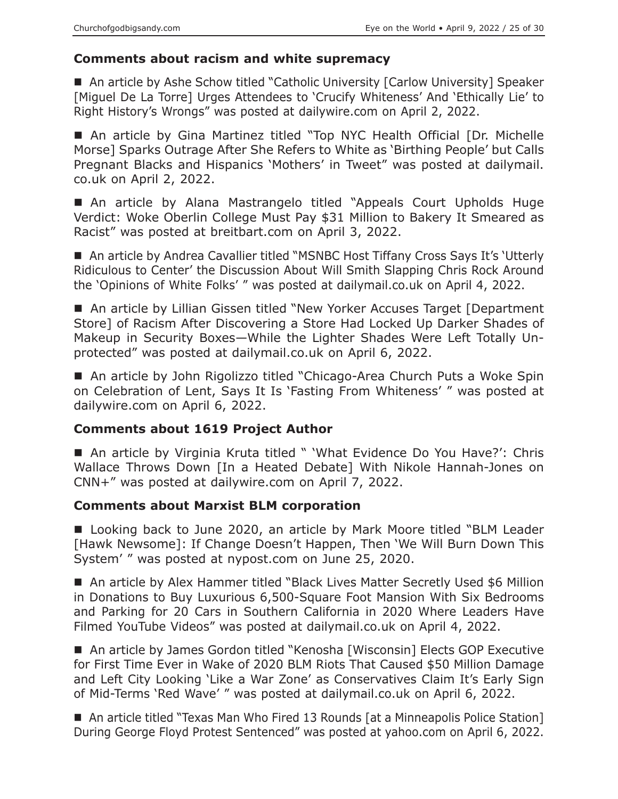## **Comments about racism and white supremacy**

■ An article by Ashe Schow titled "Catholic University [Carlow University] Speaker [Miguel De La Torre] Urges Attendees to 'Crucify Whiteness' And 'Ethically Lie' to Right History's Wrongs" was posted at dailywire.com on April 2, 2022.

■ An article by Gina Martinez titled "Top NYC Health Official [Dr. Michelle Morse] Sparks Outrage After She Refers to White as 'Birthing People' but Calls Pregnant Blacks and Hispanics 'Mothers' in Tweet" was posted at dailymail. co.uk on April 2, 2022.

■ An article by Alana Mastrangelo titled "Appeals Court Upholds Huge Verdict: Woke Oberlin College Must Pay \$31 Million to Bakery It Smeared as Racist" was posted at breitbart.com on April 3, 2022.

■ An article by Andrea Cavallier titled "MSNBC Host Tiffany Cross Says It's 'Utterly Ridiculous to Center' the Discussion About Will Smith Slapping Chris Rock Around the 'Opinions of White Folks' " was posted at dailymail.co.uk on April 4, 2022.

■ An article by Lillian Gissen titled "New Yorker Accuses Target [Department Store] of Racism After Discovering a Store Had Locked Up Darker Shades of Makeup in Security Boxes—While the Lighter Shades Were Left Totally Unprotected" was posted at dailymail.co.uk on April 6, 2022.

■ An article by John Rigolizzo titled "Chicago-Area Church Puts a Woke Spin on Celebration of Lent, Says It Is 'Fasting From Whiteness' " was posted at dailywire.com on April 6, 2022.

## **Comments about 1619 Project Author**

■ An article by Virginia Kruta titled " 'What Evidence Do You Have?': Chris Wallace Throws Down [In a Heated Debate] With Nikole Hannah-Jones on CNN+" was posted at dailywire.com on April 7, 2022.

## **Comments about Marxist BLM corporation**

■ Looking back to June 2020, an article by Mark Moore titled "BLM Leader [Hawk Newsome]: If Change Doesn't Happen, Then 'We Will Burn Down This System' " was posted at nypost.com on June 25, 2020.

■ An article by Alex Hammer titled "Black Lives Matter Secretly Used \$6 Million in Donations to Buy Luxurious 6,500-Square Foot Mansion With Six Bedrooms and Parking for 20 Cars in Southern California in 2020 Where Leaders Have Filmed YouTube Videos" was posted at dailymail.co.uk on April 4, 2022.

■ An article by James Gordon titled "Kenosha [Wisconsin] Elects GOP Executive for First Time Ever in Wake of 2020 BLM Riots That Caused \$50 Million Damage and Left City Looking 'Like a War Zone' as Conservatives Claim It's Early Sign of Mid-Terms 'Red Wave' " was posted at dailymail.co.uk on April 6, 2022.

■ An article titled "Texas Man Who Fired 13 Rounds [at a Minneapolis Police Station] During George Floyd Protest Sentenced" was posted at yahoo.com on April 6, 2022.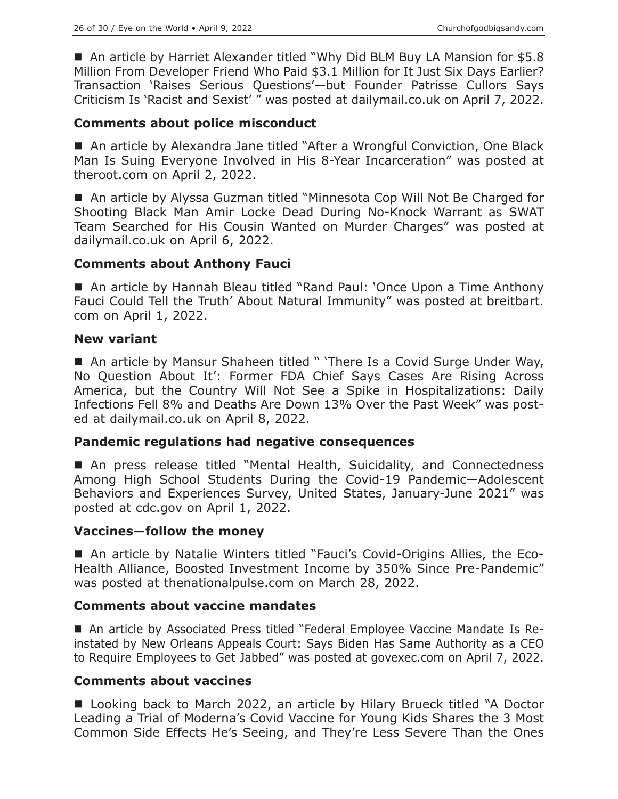■ An article by Harriet Alexander titled "Why Did BLM Buy LA Mansion for \$5.8 Million From Developer Friend Who Paid \$3.1 Million for It Just Six Days Earlier? Transaction 'Raises Serious Questions'—but Founder Patrisse Cullors Says Criticism Is 'Racist and Sexist' " was posted at dailymail.co.uk on April 7, 2022.

#### **Comments about police misconduct**

■ An article by Alexandra Jane titled "After a Wrongful Conviction, One Black Man Is Suing Everyone Involved in His 8-Year Incarceration" was posted at theroot.com on April 2, 2022.

■ An article by Alyssa Guzman titled "Minnesota Cop Will Not Be Charged for Shooting Black Man Amir Locke Dead During No-Knock Warrant as SWAT Team Searched for His Cousin Wanted on Murder Charges" was posted at dailymail.co.uk on April 6, 2022.

#### **Comments about Anthony Fauci**

■ An article by Hannah Bleau titled "Rand Paul: 'Once Upon a Time Anthony Fauci Could Tell the Truth' About Natural Immunity" was posted at breitbart. com on April 1, 2022.

#### **New variant**

■ An article by Mansur Shaheen titled " 'There Is a Covid Surge Under Way, No Question About It': Former FDA Chief Says Cases Are Rising Across America, but the Country Will Not See a Spike in Hospitalizations: Daily Infections Fell 8% and Deaths Are Down 13% Over the Past Week" was posted at dailymail.co.uk on April 8, 2022.

#### **Pandemic regulations had negative consequences**

■ An press release titled "Mental Health, Suicidality, and Connectedness Among High School Students During the Covid-19 Pandemic—Adolescent Behaviors and Experiences Survey, United States, January-June 2021" was posted at cdc.gov on April 1, 2022.

## **Vaccines—follow the money**

 An article by Natalie Winters titled "Fauci's Covid-Origins Allies, the Eco-Health Alliance, Boosted Investment Income by 350% Since Pre-Pandemic" was posted at thenationalpulse.com on March 28, 2022.

## **Comments about vaccine mandates**

 An article by Associated Press titled "Federal Employee Vaccine Mandate Is Reinstated by New Orleans Appeals Court: Says Biden Has Same Authority as a CEO to Require Employees to Get Jabbed" was posted at govexec.com on April 7, 2022.

## **Comments about vaccines**

■ Looking back to March 2022, an article by Hilary Brueck titled "A Doctor Leading a Trial of Moderna's Covid Vaccine for Young Kids Shares the 3 Most Common Side Effects He's Seeing, and They're Less Severe Than the Ones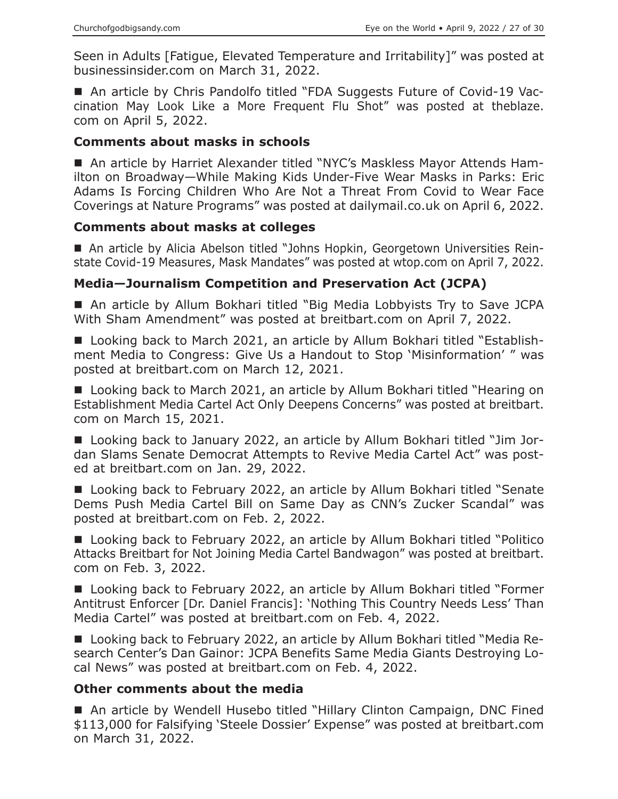Seen in Adults [Fatigue, Elevated Temperature and Irritability]" was posted at businessinsider.com on March 31, 2022.

■ An article by Chris Pandolfo titled "FDA Suggests Future of Covid-19 Vaccination May Look Like a More Frequent Flu Shot" was posted at theblaze. com on April 5, 2022.

## **Comments about masks in schools**

■ An article by Harriet Alexander titled "NYC's Maskless Mayor Attends Hamilton on Broadway—While Making Kids Under-Five Wear Masks in Parks: Eric Adams Is Forcing Children Who Are Not a Threat From Covid to Wear Face Coverings at Nature Programs" was posted at dailymail.co.uk on April 6, 2022.

## **Comments about masks at colleges**

 An article by Alicia Abelson titled "Johns Hopkin, Georgetown Universities Reinstate Covid-19 Measures, Mask Mandates" was posted at wtop.com on April 7, 2022.

# **Media—Journalism Competition and Preservation Act (JCPA)**

■ An article by Allum Bokhari titled "Big Media Lobbyists Try to Save JCPA With Sham Amendment" was posted at breitbart.com on April 7, 2022.

■ Looking back to March 2021, an article by Allum Bokhari titled "Establishment Media to Congress: Give Us a Handout to Stop 'Misinformation' " was posted at breitbart.com on March 12, 2021.

■ Looking back to March 2021, an article by Allum Bokhari titled "Hearing on Establishment Media Cartel Act Only Deepens Concerns" was posted at breitbart. com on March 15, 2021.

■ Looking back to January 2022, an article by Allum Bokhari titled "Jim Jordan Slams Senate Democrat Attempts to Revive Media Cartel Act" was posted at breitbart.com on Jan. 29, 2022.

■ Looking back to February 2022, an article by Allum Bokhari titled "Senate Dems Push Media Cartel Bill on Same Day as CNN's Zucker Scandal" was posted at breitbart.com on Feb. 2, 2022.

■ Looking back to February 2022, an article by Allum Bokhari titled "Politico Attacks Breitbart for Not Joining Media Cartel Bandwagon" was posted at breitbart. com on Feb. 3, 2022.

■ Looking back to February 2022, an article by Allum Bokhari titled "Former Antitrust Enforcer [Dr. Daniel Francis]: 'Nothing This Country Needs Less' Than Media Cartel" was posted at breitbart.com on Feb. 4, 2022.

■ Looking back to February 2022, an article by Allum Bokhari titled "Media Research Center's Dan Gainor: JCPA Benefits Same Media Giants Destroying Local News" was posted at breitbart.com on Feb. 4, 2022.

## **Other comments about the media**

■ An article by Wendell Husebo titled "Hillary Clinton Campaign, DNC Fined \$113,000 for Falsifying 'Steele Dossier' Expense" was posted at breitbart.com on March 31, 2022.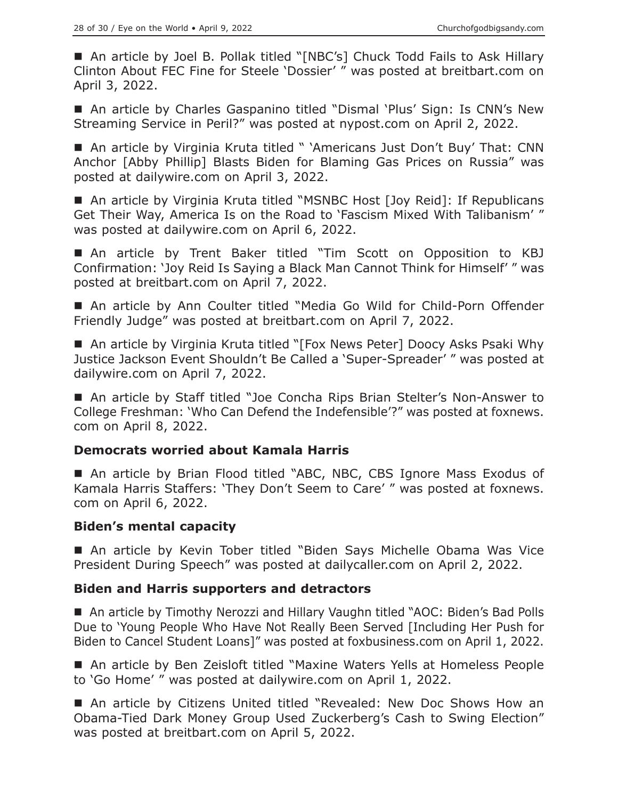■ An article by Joel B. Pollak titled "[NBC's] Chuck Todd Fails to Ask Hillary Clinton About FEC Fine for Steele 'Dossier' " was posted at breitbart.com on April 3, 2022.

■ An article by Charles Gaspanino titled "Dismal 'Plus' Sign: Is CNN's New Streaming Service in Peril?" was posted at nypost.com on April 2, 2022.

■ An article by Virginia Kruta titled " 'Americans Just Don't Buy' That: CNN Anchor [Abby Phillip] Blasts Biden for Blaming Gas Prices on Russia" was posted at dailywire.com on April 3, 2022.

■ An article by Virginia Kruta titled "MSNBC Host [Joy Reid]: If Republicans Get Their Way, America Is on the Road to 'Fascism Mixed With Talibanism' " was posted at dailywire.com on April 6, 2022.

 An article by Trent Baker titled "Tim Scott on Opposition to KBJ Confirmation: 'Joy Reid Is Saying a Black Man Cannot Think for Himself' " was posted at breitbart.com on April 7, 2022.

■ An article by Ann Coulter titled "Media Go Wild for Child-Porn Offender Friendly Judge" was posted at breitbart.com on April 7, 2022.

■ An article by Virginia Kruta titled "[Fox News Peter] Doocy Asks Psaki Why Justice Jackson Event Shouldn't Be Called a 'Super-Spreader' " was posted at dailywire.com on April 7, 2022.

■ An article by Staff titled "Joe Concha Rips Brian Stelter's Non-Answer to College Freshman: 'Who Can Defend the Indefensible'?" was posted at foxnews. com on April 8, 2022.

## **Democrats worried about Kamala Harris**

■ An article by Brian Flood titled "ABC, NBC, CBS Ignore Mass Exodus of Kamala Harris Staffers: 'They Don't Seem to Care' " was posted at foxnews. com on April 6, 2022.

## **Biden's mental capacity**

■ An article by Kevin Tober titled "Biden Says Michelle Obama Was Vice President During Speech" was posted at dailycaller.com on April 2, 2022.

## **Biden and Harris supporters and detractors**

■ An article by Timothy Nerozzi and Hillary Vaughn titled "AOC: Biden's Bad Polls Due to 'Young People Who Have Not Really Been Served [Including Her Push for Biden to Cancel Student Loans]" was posted at foxbusiness.com on April 1, 2022.

■ An article by Ben Zeisloft titled "Maxine Waters Yells at Homeless People to 'Go Home' " was posted at dailywire.com on April 1, 2022.

■ An article by Citizens United titled "Revealed: New Doc Shows How an Obama-Tied Dark Money Group Used Zuckerberg's Cash to Swing Election" was posted at breitbart.com on April 5, 2022.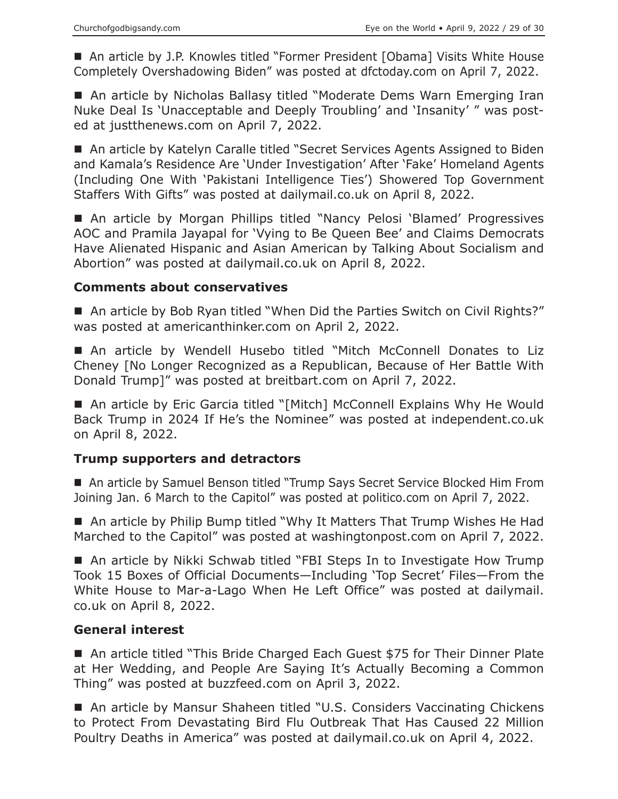■ An article by J.P. Knowles titled "Former President [Obama] Visits White House Completely Overshadowing Biden" was posted at dfctoday.com on April 7, 2022.

■ An article by Nicholas Ballasy titled "Moderate Dems Warn Emerging Iran Nuke Deal Is 'Unacceptable and Deeply Troubling' and 'Insanity' " was posted at justthenews.com on April 7, 2022.

■ An article by Katelyn Caralle titled "Secret Services Agents Assigned to Biden and Kamala's Residence Are 'Under Investigation' After 'Fake' Homeland Agents (Including One With 'Pakistani Intelligence Ties') Showered Top Government Staffers With Gifts" was posted at dailymail.co.uk on April 8, 2022.

■ An article by Morgan Phillips titled "Nancy Pelosi 'Blamed' Progressives AOC and Pramila Jayapal for 'Vying to Be Queen Bee' and Claims Democrats Have Alienated Hispanic and Asian American by Talking About Socialism and Abortion" was posted at dailymail.co.uk on April 8, 2022.

## **Comments about conservatives**

■ An article by Bob Ryan titled "When Did the Parties Switch on Civil Rights?" was posted at americanthinker.com on April 2, 2022.

 An article by Wendell Husebo titled "Mitch McConnell Donates to Liz Cheney [No Longer Recognized as a Republican, Because of Her Battle With Donald Trump]" was posted at breitbart.com on April 7, 2022.

■ An article by Eric Garcia titled "[Mitch] McConnell Explains Why He Would Back Trump in 2024 If He's the Nominee" was posted at independent.co.uk on April 8, 2022.

# **Trump supporters and detractors**

■ An article by Samuel Benson titled "Trump Says Secret Service Blocked Him From Joining Jan. 6 March to the Capitol" was posted at politico.com on April 7, 2022.

■ An article by Philip Bump titled "Why It Matters That Trump Wishes He Had Marched to the Capitol" was posted at washingtonpost.com on April 7, 2022.

■ An article by Nikki Schwab titled "FBI Steps In to Investigate How Trump Took 15 Boxes of Official Documents—Including 'Top Secret' Files—From the White House to Mar-a-Lago When He Left Office" was posted at dailymail. co.uk on April 8, 2022.

## **General interest**

■ An article titled "This Bride Charged Each Guest \$75 for Their Dinner Plate at Her Wedding, and People Are Saying It's Actually Becoming a Common Thing" was posted at buzzfeed.com on April 3, 2022.

■ An article by Mansur Shaheen titled "U.S. Considers Vaccinating Chickens to Protect From Devastating Bird Flu Outbreak That Has Caused 22 Million Poultry Deaths in America" was posted at dailymail.co.uk on April 4, 2022.